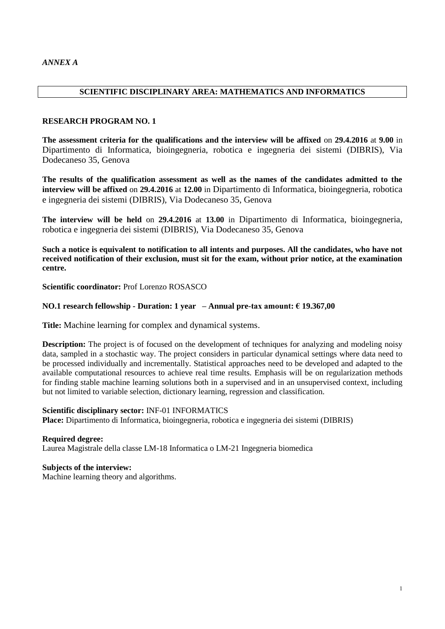# **SCIENTIFIC DISCIPLINARY AREA: MATHEMATICS AND INFORMATICS**

### **RESEARCH PROGRAM NO. 1**

**The assessment criteria for the qualifications and the interview will be affixed** on **29.4.2016** at **9.00** in Dipartimento di Informatica, bioingegneria, robotica e ingegneria dei sistemi (DIBRIS), Via Dodecaneso 35, Genova

**The results of the qualification assessment as well as the names of the candidates admitted to the interview will be affixed** on **29.4.2016** at **12.00** in Dipartimento di Informatica, bioingegneria, robotica e ingegneria dei sistemi (DIBRIS), Via Dodecaneso 35, Genova

**The interview will be held** on **29.4.2016** at **13.00** in Dipartimento di Informatica, bioingegneria, robotica e ingegneria dei sistemi (DIBRIS), Via Dodecaneso 35, Genova

**Such a notice is equivalent to notification to all intents and purposes. All the candidates, who have not received notification of their exclusion, must sit for the exam, without prior notice, at the examination centre.**

**Scientific coordinator:** Prof Lorenzo ROSASCO

# **NO.1 research fellowship - Duration: 1 year – Annual pre-tax amount: € 19.367,00**

**Title:** Machine learning for complex and dynamical systems.

**Description:** The project is of focused on the development of techniques for analyzing and modeling noisy data, sampled in a stochastic way. The project considers in particular dynamical settings where data need to be processed individually and incrementally. Statistical approaches need to be developed and adapted to the available computational resources to achieve real time results. Emphasis will be on regularization methods for finding stable machine learning solutions both in a supervised and in an unsupervised context, including but not limited to variable selection, dictionary learning, regression and classification.

### **Scientific disciplinary sector:** INF-01 INFORMATICS

**Place:** Dipartimento di Informatica, bioingegneria, robotica e ingegneria dei sistemi (DIBRIS)

**Required degree:**  Laurea Magistrale della classe LM-18 Informatica o LM-21 Ingegneria biomedica

# **Subjects of the interview:**

Machine learning theory and algorithms.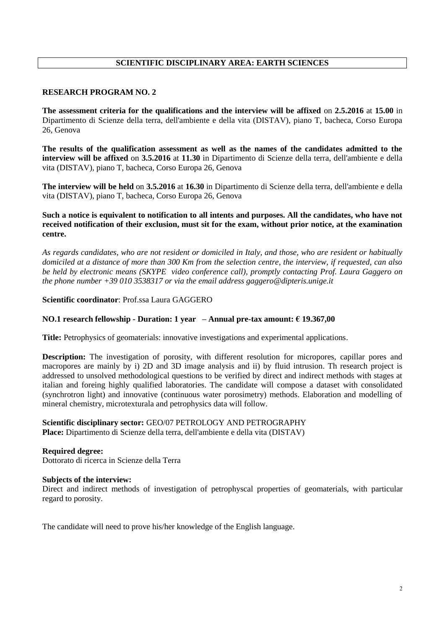# **SCIENTIFIC DISCIPLINARY AREA: EARTH SCIENCES**

# **RESEARCH PROGRAM NO. 2**

**The assessment criteria for the qualifications and the interview will be affixed** on **2.5.2016** at **15.00** in Dipartimento di Scienze della terra, dell'ambiente e della vita (DISTAV), piano T, bacheca, Corso Europa 26, Genova

**The results of the qualification assessment as well as the names of the candidates admitted to the interview will be affixed** on **3.5.2016** at **11.30** in Dipartimento di Scienze della terra, dell'ambiente e della vita (DISTAV), piano T, bacheca, Corso Europa 26, Genova

**The interview will be held** on **3.5.2016** at **16.30** in Dipartimento di Scienze della terra, dell'ambiente e della vita (DISTAV), piano T, bacheca, Corso Europa 26, Genova

# **Such a notice is equivalent to notification to all intents and purposes. All the candidates, who have not received notification of their exclusion, must sit for the exam, without prior notice, at the examination centre.**

*As regards candidates, who are not resident or domiciled in Italy, and those, who are resident or habitually domiciled at a distance of more than 300 Km from the selection centre, the interview, if requested, can also be held by electronic means (SKYPE video conference call), promptly contacting Prof. Laura Gaggero on the phone number +39 010 3538317 or via the email address gaggero@dipteris.unige.it*

### **Scientific coordinator**: Prof.ssa Laura GAGGERO

# **NO.1 research fellowship - Duration: 1 year – Annual pre-tax amount: € 19.367,00**

**Title:** Petrophysics of geomaterials: innovative investigations and experimental applications.

**Description:** The investigation of porosity, with different resolution for micropores, capillar pores and macropores are mainly by i) 2D and 3D image analysis and ii) by fluid intrusion. Th research project is addressed to unsolved methodological questions to be verified by direct and indirect methods with stages at italian and foreing highly qualified laboratories. The candidate will compose a dataset with consolidated (synchrotron light) and innovative (continuous water porosimetry) methods. Elaboration and modelling of mineral chemistry, microtexturala and petrophysics data will follow.

# **Scientific disciplinary sector:** GEO/07 PETROLOGY AND PETROGRAPHY

**Place:** Dipartimento di Scienze della terra, dell'ambiente e della vita (DISTAV)

**Required degree:**  Dottorato di ricerca in Scienze della Terra

### **Subjects of the interview:**

Direct and indirect methods of investigation of petrophyscal properties of geomaterials, with particular regard to porosity.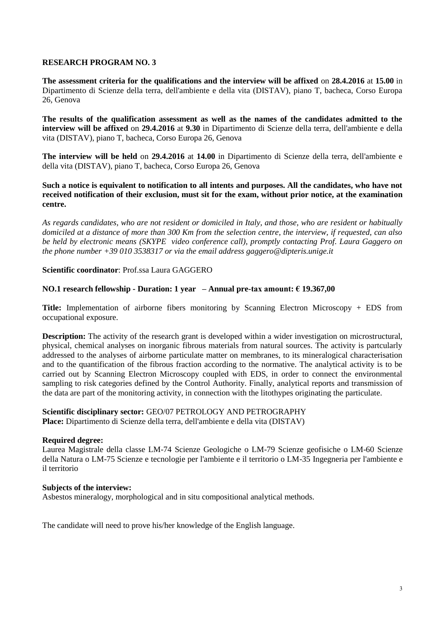**The assessment criteria for the qualifications and the interview will be affixed** on **28.4.2016** at **15.00** in Dipartimento di Scienze della terra, dell'ambiente e della vita (DISTAV), piano T, bacheca, Corso Europa 26, Genova

**The results of the qualification assessment as well as the names of the candidates admitted to the interview will be affixed** on **29.4.2016** at **9.30** in Dipartimento di Scienze della terra, dell'ambiente e della vita (DISTAV), piano T, bacheca, Corso Europa 26, Genova

**The interview will be held** on **29.4.2016** at **14.00** in Dipartimento di Scienze della terra, dell'ambiente e della vita (DISTAV), piano T, bacheca, Corso Europa 26, Genova

**Such a notice is equivalent to notification to all intents and purposes. All the candidates, who have not received notification of their exclusion, must sit for the exam, without prior notice, at the examination centre.**

*As regards candidates, who are not resident or domiciled in Italy, and those, who are resident or habitually domiciled at a distance of more than 300 Km from the selection centre, the interview, if requested, can also be held by electronic means (SKYPE video conference call), promptly contacting Prof. Laura Gaggero on the phone number +39 010 3538317 or via the email address gaggero@dipteris.unige.it*

**Scientific coordinator**: Prof.ssa Laura GAGGERO

# **NO.1 research fellowship - Duration: 1 year – Annual pre-tax amount: € 19.367,00**

**Title:** Implementation of airborne fibers monitoring by Scanning Electron Microscopy + EDS from occupational exposure.

**Description:** The activity of the research grant is developed within a wider investigation on microstructural, physical, chemical analyses on inorganic fibrous materials from natural sources. The activity is partcularly addressed to the analyses of airborne particulate matter on membranes, to its mineralogical characterisation and to the quantification of the fibrous fraction according to the normative. The analytical activity is to be carried out by Scanning Electron Microscopy coupled with EDS, in order to connect the environmental sampling to risk categories defined by the Control Authority. Finally, analytical reports and transmission of the data are part of the monitoring activity, in connection with the litothypes originating the particulate.

**Scientific disciplinary sector:** GEO/07 PETROLOGY AND PETROGRAPHY **Place:** Dipartimento di Scienze della terra, dell'ambiente e della vita (DISTAV)

# **Required degree:**

Laurea Magistrale della classe LM-74 Scienze Geologiche o LM-79 Scienze geofisiche o LM-60 Scienze della Natura o LM-75 Scienze e tecnologie per l'ambiente e il territorio o LM-35 Ingegneria per l'ambiente e il territorio

### **Subjects of the interview:**

Asbestos mineralogy, morphological and in situ compositional analytical methods.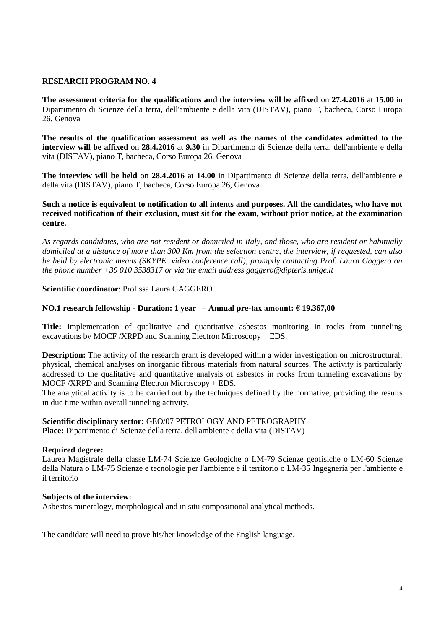**The assessment criteria for the qualifications and the interview will be affixed** on **27.4.2016** at **15.00** in Dipartimento di Scienze della terra, dell'ambiente e della vita (DISTAV), piano T, bacheca, Corso Europa 26, Genova

**The results of the qualification assessment as well as the names of the candidates admitted to the interview will be affixed** on **28.4.2016** at **9.30** in Dipartimento di Scienze della terra, dell'ambiente e della vita (DISTAV), piano T, bacheca, Corso Europa 26, Genova

**The interview will be held** on **28.4.2016** at **14.00** in Dipartimento di Scienze della terra, dell'ambiente e della vita (DISTAV), piano T, bacheca, Corso Europa 26, Genova

**Such a notice is equivalent to notification to all intents and purposes. All the candidates, who have not received notification of their exclusion, must sit for the exam, without prior notice, at the examination centre.**

*As regards candidates, who are not resident or domiciled in Italy, and those, who are resident or habitually domiciled at a distance of more than 300 Km from the selection centre, the interview, if requested, can also be held by electronic means (SKYPE video conference call), promptly contacting Prof. Laura Gaggero on the phone number +39 010 3538317 or via the email address gaggero@dipteris.unige.it*

### **Scientific coordinator**: Prof.ssa Laura GAGGERO

### **NO.1 research fellowship - Duration: 1 year – Annual pre-tax amount: € 19.367,00**

**Title:** Implementation of qualitative and quantitative asbestos monitoring in rocks from tunneling excavations by MOCF /XRPD and Scanning Electron Microscopy + EDS.

**Description:** The activity of the research grant is developed within a wider investigation on microstructural, physical, chemical analyses on inorganic fibrous materials from natural sources. The activity is particularly addressed to the qualitative and quantitative analysis of asbestos in rocks from tunneling excavations by MOCF /XRPD and Scanning Electron Microscopy + EDS.

The analytical activity is to be carried out by the techniques defined by the normative, providing the results in due time within overall tunneling activity.

### **Scientific disciplinary sector:** GEO/07 PETROLOGY AND PETROGRAPHY

**Place:** Dipartimento di Scienze della terra, dell'ambiente e della vita (DISTAV)

### **Required degree:**

Laurea Magistrale della classe LM-74 Scienze Geologiche o LM-79 Scienze geofisiche o LM-60 Scienze della Natura o LM-75 Scienze e tecnologie per l'ambiente e il territorio o LM-35 Ingegneria per l'ambiente e il territorio

### **Subjects of the interview:**

Asbestos mineralogy, morphological and in situ compositional analytical methods.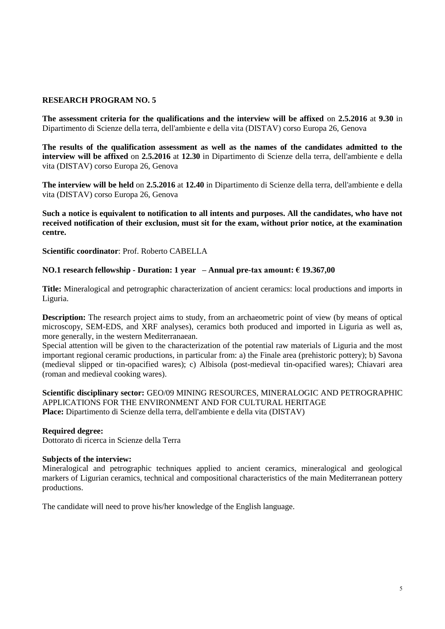**The assessment criteria for the qualifications and the interview will be affixed** on **2.5.2016** at **9.30** in Dipartimento di Scienze della terra, dell'ambiente e della vita (DISTAV) corso Europa 26, Genova

**The results of the qualification assessment as well as the names of the candidates admitted to the interview will be affixed** on **2.5.2016** at **12.30** in Dipartimento di Scienze della terra, dell'ambiente e della vita (DISTAV) corso Europa 26, Genova

**The interview will be held** on **2.5.2016** at **12.40** in Dipartimento di Scienze della terra, dell'ambiente e della vita (DISTAV) corso Europa 26, Genova

**Such a notice is equivalent to notification to all intents and purposes. All the candidates, who have not received notification of their exclusion, must sit for the exam, without prior notice, at the examination centre.**

**Scientific coordinator**: Prof. Roberto CABELLA

# **NO.1 research fellowship - Duration: 1 year – Annual pre-tax amount: € 19.367,00**

**Title:** Mineralogical and petrographic characterization of ancient ceramics: local productions and imports in Liguria.

**Description:** The research project aims to study, from an archaeometric point of view (by means of optical microscopy, SEM-EDS, and XRF analyses), ceramics both produced and imported in Liguria as well as, more generally, in the western Mediterranaean.

Special attention will be given to the characterization of the potential raw materials of Liguria and the most important regional ceramic productions, in particular from: a) the Finale area (prehistoric pottery); b) Savona (medieval slipped or tin-opacified wares); c) Albisola (post-medieval tin-opacified wares); Chiavari area (roman and medieval cooking wares).

**Scientific disciplinary sector:** GEO/09 MINING RESOURCES, MINERALOGIC AND PETROGRAPHIC APPLICATIONS FOR THE ENVIRONMENT AND FOR CULTURAL HERITAGE **Place:** Dipartimento di Scienze della terra, dell'ambiente e della vita (DISTAV)

### **Required degree:**

Dottorato di ricerca in Scienze della Terra

### **Subjects of the interview:**

Mineralogical and petrographic techniques applied to ancient ceramics, mineralogical and geological markers of Ligurian ceramics, technical and compositional characteristics of the main Mediterranean pottery productions.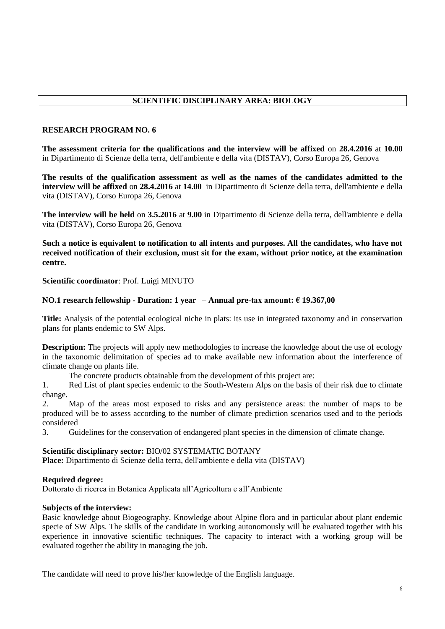# **SCIENTIFIC DISCIPLINARY AREA: BIOLOGY**

# **RESEARCH PROGRAM NO. 6**

**The assessment criteria for the qualifications and the interview will be affixed** on **28.4.2016** at **10.00**  in Dipartimento di Scienze della terra, dell'ambiente e della vita (DISTAV), Corso Europa 26, Genova

**The results of the qualification assessment as well as the names of the candidates admitted to the interview will be affixed** on **28.4.2016** at **14.00** in Dipartimento di Scienze della terra, dell'ambiente e della vita (DISTAV), Corso Europa 26, Genova

**The interview will be held** on **3.5.2016** at **9.00** in Dipartimento di Scienze della terra, dell'ambiente e della vita (DISTAV), Corso Europa 26, Genova

**Such a notice is equivalent to notification to all intents and purposes. All the candidates, who have not received notification of their exclusion, must sit for the exam, without prior notice, at the examination centre.**

**Scientific coordinator**: Prof. Luigi MINUTO

# **NO.1 research fellowship - Duration: 1 year – Annual pre-tax amount: € 19.367,00**

**Title:** Analysis of the potential ecological niche in plats: its use in integrated taxonomy and in conservation plans for plants endemic to SW Alps.

**Description:** The projects will apply new methodologies to increase the knowledge about the use of ecology in the taxonomic delimitation of species ad to make available new information about the interference of climate change on plants life.

The concrete products obtainable from the development of this project are:

1. Red List of plant species endemic to the South-Western Alps on the basis of their risk due to climate change.

2. Map of the areas most exposed to risks and any persistence areas: the number of maps to be produced will be to assess according to the number of climate prediction scenarios used and to the periods considered

3. Guidelines for the conservation of endangered plant species in the dimension of climate change.

# **Scientific disciplinary sector:** BIO/02 SYSTEMATIC BOTANY

**Place:** Dipartimento di Scienze della terra, dell'ambiente e della vita (DISTAV)

# **Required degree:**

Dottorato di ricerca in Botanica Applicata all'Agricoltura e all'Ambiente

# **Subjects of the interview:**

Basic knowledge about Biogeography. Knowledge about Alpine flora and in particular about plant endemic specie of SW Alps. The skills of the candidate in working autonomously will be evaluated together with his experience in innovative scientific techniques. The capacity to interact with a working group will be evaluated together the ability in managing the job.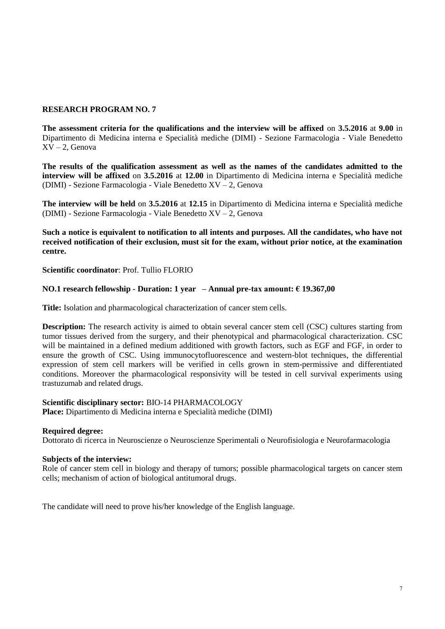**The assessment criteria for the qualifications and the interview will be affixed** on **3.5.2016** at **9.00** in Dipartimento di Medicina interna e Specialità mediche (DIMI) - Sezione Farmacologia - Viale Benedetto  $XV - 2$ , Genova

**The results of the qualification assessment as well as the names of the candidates admitted to the interview will be affixed** on **3.5.2016** at **12.00** in Dipartimento di Medicina interna e Specialità mediche (DIMI) - Sezione Farmacologia - Viale Benedetto XV – 2, Genova

**The interview will be held** on **3.5.2016** at **12.15** in Dipartimento di Medicina interna e Specialità mediche (DIMI) - Sezione Farmacologia - Viale Benedetto XV – 2, Genova

**Such a notice is equivalent to notification to all intents and purposes. All the candidates, who have not received notification of their exclusion, must sit for the exam, without prior notice, at the examination centre.**

**Scientific coordinator**: Prof. Tullio FLORIO

### **NO.1 research fellowship - Duration: 1 year – Annual pre-tax amount: € 19.367,00**

**Title:** Isolation and pharmacological characterization of cancer stem cells.

**Description:** The research activity is aimed to obtain several cancer stem cell (CSC) cultures starting from tumor tissues derived from the surgery, and their phenotypical and pharmacological characterization. CSC will be maintained in a defined medium additioned with growth factors, such as EGF and FGF, in order to ensure the growth of CSC. Using immunocytofluorescence and western-blot techniques, the differential expression of stem cell markers will be verified in cells grown in stem-permissive and differentiated conditions. Moreover the pharmacological responsivity will be tested in cell survival experiments using trastuzumab and related drugs.

# **Scientific disciplinary sector:** BIO-14 PHARMACOLOGY

**Place:** Dipartimento di Medicina interna e Specialità mediche (DIMI)

### **Required degree:**

Dottorato di ricerca in Neuroscienze o Neuroscienze Sperimentali o Neurofisiologia e Neurofarmacologia

### **Subjects of the interview:**

Role of cancer stem cell in biology and therapy of tumors; possible pharmacological targets on cancer stem cells; mechanism of action of biological antitumoral drugs.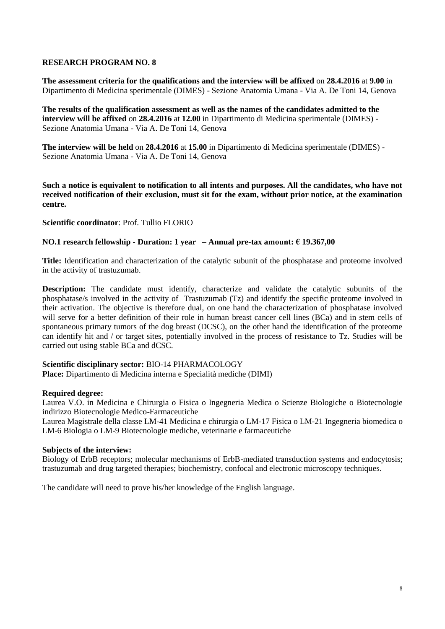**The assessment criteria for the qualifications and the interview will be affixed** on **28.4.2016** at **9.00** in Dipartimento di Medicina sperimentale (DIMES) - Sezione Anatomia Umana - Via A. De Toni 14, Genova

**The results of the qualification assessment as well as the names of the candidates admitted to the interview will be affixed** on **28.4.2016** at **12.00** in Dipartimento di Medicina sperimentale (DIMES) - Sezione Anatomia Umana - Via A. De Toni 14, Genova

**The interview will be held** on **28.4.2016** at **15.00** in Dipartimento di Medicina sperimentale (DIMES) - Sezione Anatomia Umana - Via A. De Toni 14, Genova

**Such a notice is equivalent to notification to all intents and purposes. All the candidates, who have not received notification of their exclusion, must sit for the exam, without prior notice, at the examination centre.**

**Scientific coordinator**: Prof. Tullio FLORIO

# **NO.1 research fellowship - Duration: 1 year – Annual pre-tax amount: € 19.367,00**

**Title:** Identification and characterization of the catalytic subunit of the phosphatase and proteome involved in the activity of trastuzumab.

**Description:** The candidate must identify, characterize and validate the catalytic subunits of the phosphatase/s involved in the activity of Trastuzumab (Tz) and identify the specific proteome involved in their activation. The objective is therefore dual, on one hand the characterization of phosphatase involved will serve for a better definition of their role in human breast cancer cell lines (BCa) and in stem cells of spontaneous primary tumors of the dog breast (DCSC), on the other hand the identification of the proteome can identify hit and / or target sites, potentially involved in the process of resistance to Tz. Studies will be carried out using stable BCa and dCSC.

### **Scientific disciplinary sector:** BIO-14 PHARMACOLOGY

**Place:** Dipartimento di Medicina interna e Specialità mediche (DIMI)

### **Required degree:**

Laurea V.O. in Medicina e Chirurgia o Fisica o Ingegneria Medica o Scienze Biologiche o Biotecnologie indirizzo Biotecnologie Medico-Farmaceutiche

Laurea Magistrale della classe LM-41 Medicina e chirurgia o LM-17 Fisica o LM-21 Ingegneria biomedica o LM-6 Biologia o LM-9 Biotecnologie mediche, veterinarie e farmaceutiche

### **Subjects of the interview:**

Biology of ErbB receptors; molecular mechanisms of ErbB-mediated transduction systems and endocytosis; trastuzumab and drug targeted therapies; biochemistry, confocal and electronic microscopy techniques.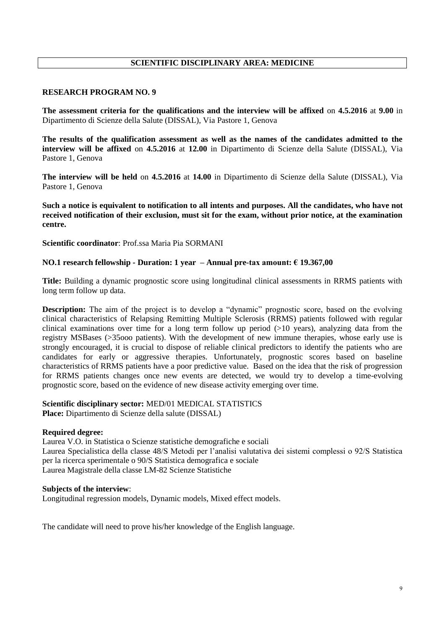# **SCIENTIFIC DISCIPLINARY AREA: MEDICINE**

### **RESEARCH PROGRAM NO. 9**

**The assessment criteria for the qualifications and the interview will be affixed** on **4.5.2016** at **9.00** in Dipartimento di Scienze della Salute (DISSAL), Via Pastore 1, Genova

**The results of the qualification assessment as well as the names of the candidates admitted to the interview will be affixed** on **4.5.2016** at **12.00** in Dipartimento di Scienze della Salute (DISSAL), Via Pastore 1, Genova

**The interview will be held** on **4.5.2016** at **14.00** in Dipartimento di Scienze della Salute (DISSAL), Via Pastore 1, Genova

**Such a notice is equivalent to notification to all intents and purposes. All the candidates, who have not received notification of their exclusion, must sit for the exam, without prior notice, at the examination centre.**

**Scientific coordinator**: Prof.ssa Maria Pia SORMANI

### **NO.1 research fellowship - Duration: 1 year – Annual pre-tax amount: € 19.367,00**

**Title:** Building a dynamic prognostic score using longitudinal clinical assessments in RRMS patients with long term follow up data.

**Description:** The aim of the project is to develop a "dynamic" prognostic score, based on the evolving clinical characteristics of Relapsing Remitting Multiple Sclerosis (RRMS) patients followed with regular clinical examinations over time for a long term follow up period  $(>10$  years), analyzing data from the registry MSBases (>35ooo patients). With the development of new immune therapies, whose early use is strongly encouraged, it is crucial to dispose of reliable clinical predictors to identify the patients who are candidates for early or aggressive therapies. Unfortunately, prognostic scores based on baseline characteristics of RRMS patients have a poor predictive value. Based on the idea that the risk of progression for RRMS patients changes once new events are detected, we would try to develop a time-evolving prognostic score, based on the evidence of new disease activity emerging over time.

### **Scientific disciplinary sector:** MED/01 MEDICAL STATISTICS **Place:** Dipartimento di Scienze della salute (DISSAL)

### **Required degree:**

Laurea V.O. in Statistica o Scienze statistiche demografiche e sociali Laurea Specialistica della classe 48/S Metodi per l'analisi valutativa dei sistemi complessi o 92/S Statistica per la ricerca sperimentale o 90/S Statistica demografica e sociale Laurea Magistrale della classe LM-82 Scienze Statistiche

### **Subjects of the interview**:

Longitudinal regression models, Dynamic models, Mixed effect models.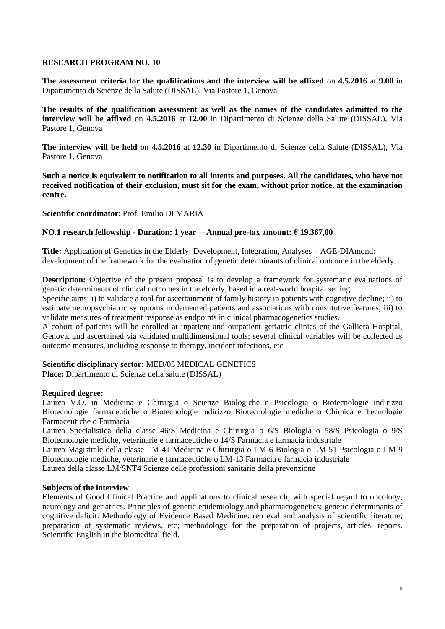**The assessment criteria for the qualifications and the interview will be affixed** on **4.5.2016** at **9.00** in Dipartimento di Scienze della Salute (DISSAL), Via Pastore 1, Genova

**The results of the qualification assessment as well as the names of the candidates admitted to the interview will be affixed** on **4.5.2016** at **12.00** in Dipartimento di Scienze della Salute (DISSAL), Via Pastore 1, Genova

**The interview will be held** on **4.5.2016** at **12.30** in Dipartimento di Scienze della Salute (DISSAL), Via Pastore 1, Genova

**Such a notice is equivalent to notification to all intents and purposes. All the candidates, who have not received notification of their exclusion, must sit for the exam, without prior notice, at the examination centre.**

# **Scientific coordinator**: Prof. Emilio DI MARIA

# **NO.1 research fellowship - Duration: 1 year – Annual pre-tax amount: € 19.367,00**

**Title:** Application of Genetics in the Elderly: Development, Integration, Analyses – AGE-DIAmond: development of the framework for the evaluation of genetic determinants of clinical outcome in the elderly.

**Description:** Objective of the present proposal is to develop a framework for systematic evaluations of genetic determinants of clinical outcomes in the elderly, based in a real-world hospital setting.

Specific aims: i) to validate a tool for ascertainment of family history in patients with cognitive decline; ii) to estimate neuropsychiatric symptoms in demented patients and associations with constitutive features; iii) to validate measures of treatment response as endpoints in clinical pharmacogenetics studies.

A cohort of patients will be enrolled at inpatient and outpatient geriatric clinics of the Galliera Hospital, Genova, and ascertained via validated multidimensional tools; several clinical variables will be collected as outcome measures, including response to therapy, incident infections, etc

# **Scientific disciplinary sector:** MED/03 MEDICAL GENETICS

**Place:** Dipartimento di Scienze della salute (DISSAL)

# **Required degree:**

Laurea V.O. in Medicina e Chirurgia o Scienze Biologiche o Psicologia o Biotecnologie indirizzo Biotecnologie farmaceutiche o Biotecnologie indirizzo Biotecnologie mediche o Chimica e Tecnologie Farmaceutiche o Farmacia

Laurea Specialistica della classe 46/S Medicina e Chirurgia o 6/S Biologia o 58/S Psicologia o 9/S Biotecnologie mediche, veterinarie e farmaceutiche o 14/S Farmacia e farmacia industriale

Laurea Magistrale della classe LM-41 Medicina e Chirurgia o LM-6 Biologia o LM-51 Psicologia o LM-9 Biotecnologie mediche, veterinarie e farmaceutiche o LM-13 Farmacia e farmacia industriale

Laurea della classe LM/SNT4 Scienze delle professioni sanitarie della prevenzione

# **Subjects of the interview**:

Elements of Good Clinical Practice and applications to clinical research, with special regard to oncology, neurology and geriatrics. Principles of genetic epidemiology and pharmacogenetics; genetic determinants of cognitive deficit. Methodology of Evidence Based Medicine: retrieval and analysis of scientific literature, preparation of systematic reviews, etc; methodology for the preparation of projects, articles, reports. Scientific English in the biomedical field.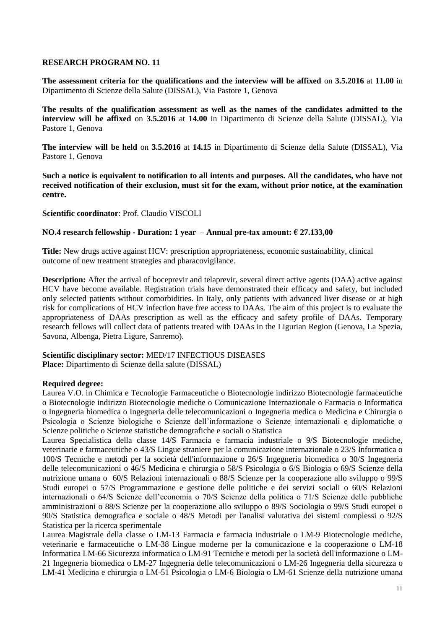**The assessment criteria for the qualifications and the interview will be affixed** on **3.5.2016** at **11.00** in Dipartimento di Scienze della Salute (DISSAL), Via Pastore 1, Genova

**The results of the qualification assessment as well as the names of the candidates admitted to the interview will be affixed** on **3.5.2016** at **14.00** in Dipartimento di Scienze della Salute (DISSAL), Via Pastore 1, Genova

**The interview will be held** on **3.5.2016** at **14.15** in Dipartimento di Scienze della Salute (DISSAL), Via Pastore 1, Genova

**Such a notice is equivalent to notification to all intents and purposes. All the candidates, who have not received notification of their exclusion, must sit for the exam, without prior notice, at the examination centre.**

**Scientific coordinator**: Prof. Claudio VISCOLI

# **NO.4 research fellowship - Duration: 1 year – Annual pre-tax amount: € 27.133,00**

**Title:** New drugs active against HCV: prescription appropriateness, economic sustainability, clinical outcome of new treatment strategies and pharacovigilance.

**Description:** After the arrival of boceprevir and telaprevir, several direct active agents (DAA) active against HCV have become available. Registration trials have demonstrated their efficacy and safety, but included only selected patients without comorbidities. In Italy, only patients with advanced liver disease or at high risk for complications of HCV infection have free access to DAAs. The aim of this project is to evaluate the appropriateness of DAAs prescription as well as the efficacy and safety profile of DAAs. Temporary research fellows will collect data of patients treated with DAAs in the Ligurian Region (Genova, La Spezia, Savona, Albenga, Pietra Ligure, Sanremo).

# **Scientific disciplinary sector:** MED/17 INFECTIOUS DISEASES

**Place:** Dipartimento di Scienze della salute (DISSAL)

# **Required degree:**

Laurea V.O. in Chimica e Tecnologie Farmaceutiche o Biotecnologie indirizzo Biotecnologie farmaceutiche o Biotecnologie indirizzo Biotecnologie mediche o Comunicazione Internazionale o Farmacia o Informatica o Ingegneria biomedica o Ingegneria delle telecomunicazioni o Ingegneria medica o Medicina e Chirurgia o Psicologia o Scienze biologiche o Scienze dell'informazione o Scienze internazionali e diplomatiche o Scienze politiche o Scienze statistiche demografiche e sociali o Statistica

Laurea Specialistica della classe 14/S Farmacia e farmacia industriale o 9/S Biotecnologie mediche, veterinarie e farmaceutiche o 43/S Lingue straniere per la comunicazione internazionale o 23/S Informatica o 100/S Tecniche e metodi per la società dell'informazione o 26/S Ingegneria biomedica o 30/S Ingegneria delle telecomunicazioni o 46/S Medicina e chirurgia o 58/S Psicologia o 6/S Biologia o 69/S Scienze della nutrizione umana o 60/S Relazioni internazionali o 88/S Scienze per la cooperazione allo sviluppo o 99/S Studi europei o 57/S Programmazione e gestione delle politiche e dei servizi sociali o 60/S Relazioni internazionali o 64/S Scienze dell'economia o 70/S Scienze della politica o 71/S Scienze delle pubbliche amministrazioni o 88/S Scienze per la cooperazione allo sviluppo o 89/S Sociologia o 99/S Studi europei o 90/S Statistica demografica e sociale o 48/S Metodi per l'analisi valutativa dei sistemi complessi o 92/S Statistica per la ricerca sperimentale

Laurea Magistrale della classe o LM-13 Farmacia e farmacia industriale o LM-9 Biotecnologie mediche, veterinarie e farmaceutiche o LM-38 Lingue moderne per la comunicazione e la cooperazione o LM-18 Informatica LM-66 Sicurezza informatica o LM-91 Tecniche e metodi per la società dell'informazione o LM-21 Ingegneria biomedica o LM-27 Ingegneria delle telecomunicazioni o LM-26 Ingegneria della sicurezza o LM-41 Medicina e chirurgia o LM-51 Psicologia o LM-6 Biologia o LM-61 Scienze della nutrizione umana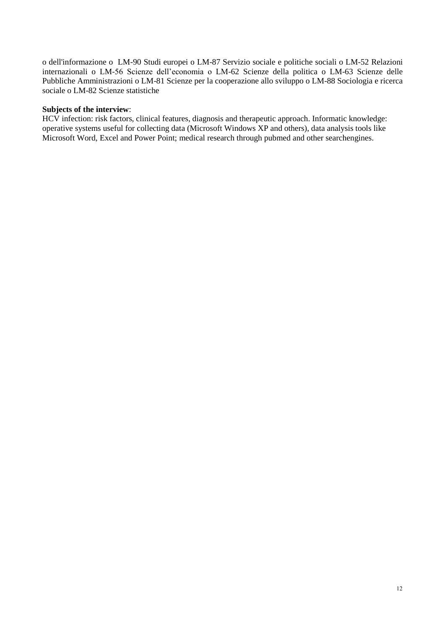o dell'informazione o LM-90 Studi europei o LM-87 Servizio sociale e politiche sociali o LM-52 Relazioni internazionali o LM-56 Scienze dell'economia o LM-62 Scienze della politica o LM-63 Scienze delle Pubbliche Amministrazioni o LM-81 Scienze per la cooperazione allo sviluppo o LM-88 Sociologia e ricerca sociale o LM-82 Scienze statistiche

# **Subjects of the interview**:

HCV infection: risk factors, clinical features, diagnosis and therapeutic approach. Informatic knowledge: operative systems useful for collecting data (Microsoft Windows XP and others), data analysis tools like Microsoft Word, Excel and Power Point; medical research through pubmed and other searchengines.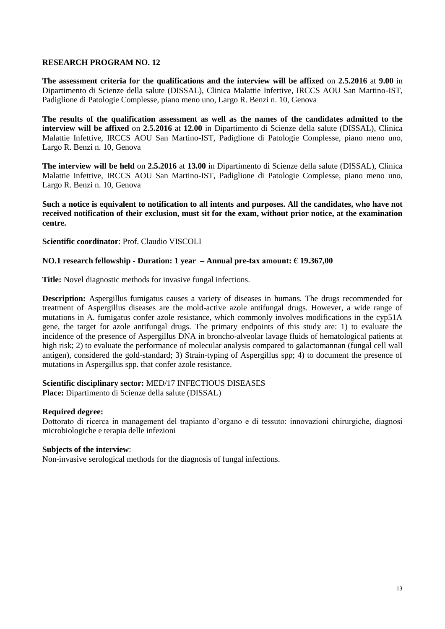**The assessment criteria for the qualifications and the interview will be affixed** on **2.5.2016** at **9.00** in Dipartimento di Scienze della salute (DISSAL), Clinica Malattie Infettive, IRCCS AOU San Martino-IST, Padiglione di Patologie Complesse, piano meno uno, Largo R. Benzi n. 10, Genova

**The results of the qualification assessment as well as the names of the candidates admitted to the interview will be affixed** on **2.5.2016** at **12.00** in Dipartimento di Scienze della salute (DISSAL), Clinica Malattie Infettive, IRCCS AOU San Martino-IST, Padiglione di Patologie Complesse, piano meno uno, Largo R. Benzi n. 10, Genova

**The interview will be held** on **2.5.2016** at **13.00** in Dipartimento di Scienze della salute (DISSAL), Clinica Malattie Infettive, IRCCS AOU San Martino-IST, Padiglione di Patologie Complesse, piano meno uno, Largo R. Benzi n. 10, Genova

**Such a notice is equivalent to notification to all intents and purposes. All the candidates, who have not received notification of their exclusion, must sit for the exam, without prior notice, at the examination centre.**

# **Scientific coordinator**: Prof. Claudio VISCOLI

# **NO.1 research fellowship - Duration: 1 year – Annual pre-tax amount: € 19.367,00**

**Title:** Novel diagnostic methods for invasive fungal infections.

**Description:** Aspergillus fumigatus causes a variety of diseases in humans. The drugs recommended for treatment of Aspergillus diseases are the mold-active azole antifungal drugs. However, a wide range of mutations in A. fumigatus confer azole resistance, which commonly involves modifications in the cyp51A gene, the target for azole antifungal drugs. The primary endpoints of this study are: 1) to evaluate the incidence of the presence of Aspergillus DNA in broncho-alveolar lavage fluids of hematological patients at high risk; 2) to evaluate the performance of molecular analysis compared to galactomannan (fungal cell wall antigen), considered the gold-standard; 3) Strain-typing of Aspergillus spp; 4) to document the presence of mutations in Aspergillus spp. that confer azole resistance.

### **Scientific disciplinary sector:** MED/17 INFECTIOUS DISEASES **Place:** Dipartimento di Scienze della salute (DISSAL)

### **Required degree:**

Dottorato di ricerca in management del trapianto d'organo e di tessuto: innovazioni chirurgiche, diagnosi microbiologiche e terapia delle infezioni

# **Subjects of the interview**:

Non-invasive serological methods for the diagnosis of fungal infections.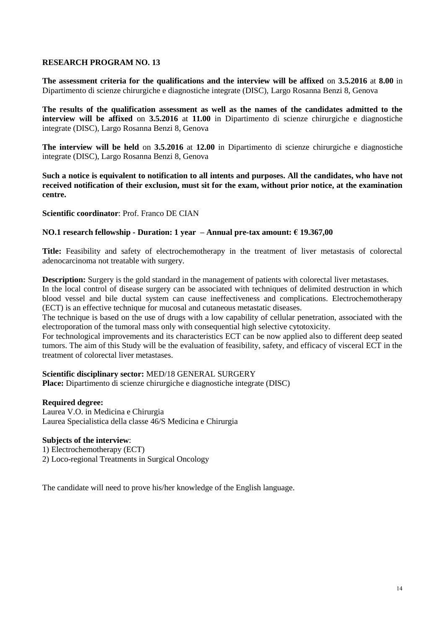**The assessment criteria for the qualifications and the interview will be affixed** on **3.5.2016** at **8.00** in Dipartimento di scienze chirurgiche e diagnostiche integrate (DISC), Largo Rosanna Benzi 8, Genova

**The results of the qualification assessment as well as the names of the candidates admitted to the interview will be affixed** on **3.5.2016** at **11.00** in Dipartimento di scienze chirurgiche e diagnostiche integrate (DISC), Largo Rosanna Benzi 8, Genova

**The interview will be held** on **3.5.2016** at **12.00** in Dipartimento di scienze chirurgiche e diagnostiche integrate (DISC), Largo Rosanna Benzi 8, Genova

**Such a notice is equivalent to notification to all intents and purposes. All the candidates, who have not received notification of their exclusion, must sit for the exam, without prior notice, at the examination centre.**

### **Scientific coordinator**: Prof. Franco DE CIAN

# **NO.1 research fellowship - Duration: 1 year – Annual pre-tax amount: € 19.367,00**

**Title:** Feasibility and safety of electrochemotherapy in the treatment of liver metastasis of colorectal adenocarcinoma not treatable with surgery.

**Description:** Surgery is the gold standard in the management of patients with colorectal liver metastases.

In the local control of disease surgery can be associated with techniques of delimited destruction in which blood vessel and bile ductal system can cause ineffectiveness and complications. Electrochemotherapy (ECT) is an effective technique for mucosal and cutaneous metastatic diseases.

The technique is based on the use of drugs with a low capability of cellular penetration, associated with the electroporation of the tumoral mass only with consequential high selective cytotoxicity.

For technological improvements and its characteristics ECT can be now applied also to different deep seated tumors. The aim of this Study will be the evaluation of feasibility, safety, and efficacy of visceral ECT in the treatment of colorectal liver metastases.

# **Scientific disciplinary sector:** MED/18 GENERAL SURGERY

**Place:** Dipartimento di scienze chirurgiche e diagnostiche integrate (DISC)

# **Required degree:**

Laurea V.O. in Medicina e Chirurgia Laurea Specialistica della classe 46/S Medicina e Chirurgia

# **Subjects of the interview**:

1) Electrochemotherapy (ECT)

2) Loco-regional Treatments in Surgical Oncology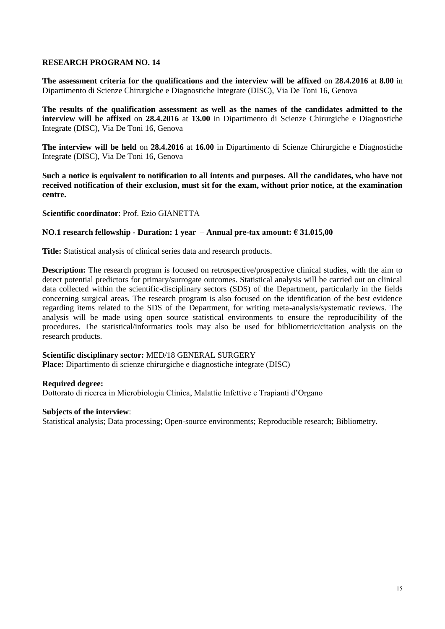**The assessment criteria for the qualifications and the interview will be affixed** on **28.4.2016** at **8.00** in Dipartimento di Scienze Chirurgiche e Diagnostiche Integrate (DISC), Via De Toni 16, Genova

**The results of the qualification assessment as well as the names of the candidates admitted to the interview will be affixed** on **28.4.2016** at **13.00** in Dipartimento di Scienze Chirurgiche e Diagnostiche Integrate (DISC), Via De Toni 16, Genova

**The interview will be held** on **28.4.2016** at **16.00** in Dipartimento di Scienze Chirurgiche e Diagnostiche Integrate (DISC), Via De Toni 16, Genova

**Such a notice is equivalent to notification to all intents and purposes. All the candidates, who have not received notification of their exclusion, must sit for the exam, without prior notice, at the examination centre.**

**Scientific coordinator**: Prof. Ezio GIANETTA

### **NO.1 research fellowship - Duration: 1 year – Annual pre-tax amount: € 31.015,00**

**Title:** Statistical analysis of clinical series data and research products.

**Description:** The research program is focused on retrospective/prospective clinical studies, with the aim to detect potential predictors for primary/surrogate outcomes. Statistical analysis will be carried out on clinical data collected within the scientific-disciplinary sectors (SDS) of the Department, particularly in the fields concerning surgical areas. The research program is also focused on the identification of the best evidence regarding items related to the SDS of the Department, for writing meta-analysis/systematic reviews. The analysis will be made using open source statistical environments to ensure the reproducibility of the procedures. The statistical/informatics tools may also be used for bibliometric/citation analysis on the research products.

# **Scientific disciplinary sector:** MED/18 GENERAL SURGERY

**Place:** Dipartimento di scienze chirurgiche e diagnostiche integrate (DISC)

### **Required degree:**

Dottorato di ricerca in Microbiologia Clinica, Malattie Infettive e Trapianti d'Organo

### **Subjects of the interview**:

Statistical analysis; Data processing; Open-source environments; Reproducible research; Bibliometry.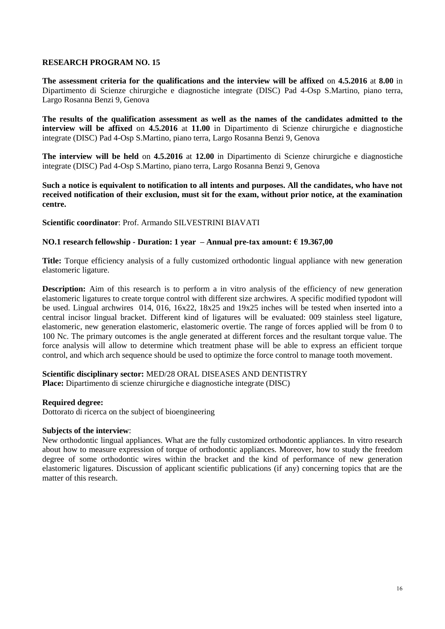**The assessment criteria for the qualifications and the interview will be affixed** on **4.5.2016** at **8.00** in Dipartimento di Scienze chirurgiche e diagnostiche integrate (DISC) Pad 4-Osp S.Martino, piano terra, Largo Rosanna Benzi 9, Genova

**The results of the qualification assessment as well as the names of the candidates admitted to the interview will be affixed** on **4.5.2016** at **11.00** in Dipartimento di Scienze chirurgiche e diagnostiche integrate (DISC) Pad 4-Osp S.Martino, piano terra, Largo Rosanna Benzi 9, Genova

**The interview will be held** on **4.5.2016** at **12.00** in Dipartimento di Scienze chirurgiche e diagnostiche integrate (DISC) Pad 4-Osp S.Martino, piano terra, Largo Rosanna Benzi 9, Genova

**Such a notice is equivalent to notification to all intents and purposes. All the candidates, who have not received notification of their exclusion, must sit for the exam, without prior notice, at the examination centre.**

**Scientific coordinator**: Prof. Armando SILVESTRINI BIAVATI

# **NO.1 research fellowship - Duration: 1 year – Annual pre-tax amount: € 19.367,00**

**Title:** Torque efficiency analysis of a fully customized orthodontic lingual appliance with new generation elastomeric ligature.

**Description:** Aim of this research is to perform a in vitro analysis of the efficiency of new generation elastomeric ligatures to create torque control with different size archwires. A specific modified typodont will be used. Lingual archwires 014, 016, 16x22, 18x25 and 19x25 inches will be tested when inserted into a central incisor lingual bracket. Different kind of ligatures will be evaluated: 009 stainless steel ligature, elastomeric, new generation elastomeric, elastomeric overtie. The range of forces applied will be from 0 to 100 Nc. The primary outcomes is the angle generated at different forces and the resultant torque value. The force analysis will allow to determine which treatment phase will be able to express an efficient torque control, and which arch sequence should be used to optimize the force control to manage tooth movement.

**Scientific disciplinary sector:** MED/28 ORAL DISEASES AND DENTISTRY

**Place:** Dipartimento di scienze chirurgiche e diagnostiche integrate (DISC)

# **Required degree:**

Dottorato di ricerca on the subject of bioengineering

# **Subjects of the interview**:

New orthodontic lingual appliances. What are the fully customized orthodontic appliances. In vitro research about how to measure expression of torque of orthodontic appliances. Moreover, how to study the freedom degree of some orthodontic wires within the bracket and the kind of performance of new generation elastomeric ligatures. Discussion of applicant scientific publications (if any) concerning topics that are the matter of this research.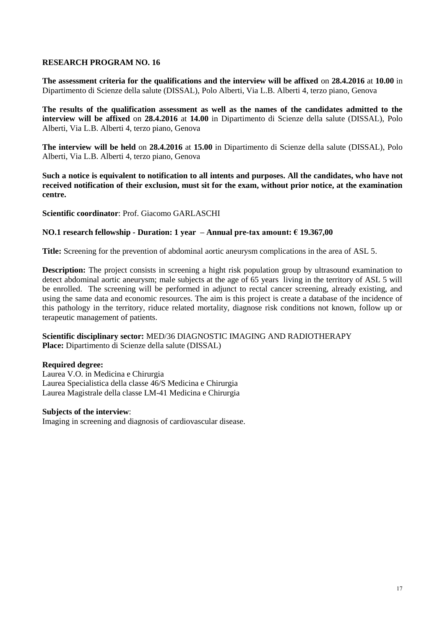**The assessment criteria for the qualifications and the interview will be affixed** on **28.4.2016** at **10.00** in Dipartimento di Scienze della salute (DISSAL), Polo Alberti, Via L.B. Alberti 4, terzo piano, Genova

**The results of the qualification assessment as well as the names of the candidates admitted to the interview will be affixed** on **28.4.2016** at **14.00** in Dipartimento di Scienze della salute (DISSAL), Polo Alberti, Via L.B. Alberti 4, terzo piano, Genova

**The interview will be held** on **28.4.2016** at **15.00** in Dipartimento di Scienze della salute (DISSAL), Polo Alberti, Via L.B. Alberti 4, terzo piano, Genova

**Such a notice is equivalent to notification to all intents and purposes. All the candidates, who have not received notification of their exclusion, must sit for the exam, without prior notice, at the examination centre.**

**Scientific coordinator**: Prof. Giacomo GARLASCHI

# **NO.1 research fellowship - Duration: 1 year – Annual pre-tax amount: € 19.367,00**

**Title:** Screening for the prevention of abdominal aortic aneurysm complications in the area of ASL 5.

**Description:** The project consists in screening a hight risk population group by ultrasound examination to detect abdominal aortic aneurysm; male subjects at the age of 65 years living in the territory of ASL 5 will be enrolled. The screening will be performed in adjunct to rectal cancer screening, already existing, and using the same data and economic resources. The aim is this project is create a database of the incidence of this pathology in the territory, riduce related mortality, diagnose risk conditions not known, follow up or terapeutic management of patients.

# **Scientific disciplinary sector:** MED/36 DIAGNOSTIC IMAGING AND RADIOTHERAPY **Place:** Dipartimento di Scienze della salute (DISSAL)

# **Required degree:**

Laurea V.O. in Medicina e Chirurgia Laurea Specialistica della classe 46/S Medicina e Chirurgia Laurea Magistrale della classe LM-41 Medicina e Chirurgia

# **Subjects of the interview**:

Imaging in screening and diagnosis of cardiovascular disease.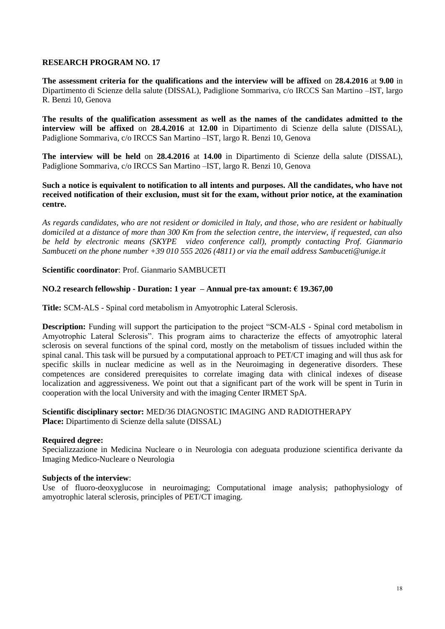**The assessment criteria for the qualifications and the interview will be affixed** on **28.4.2016** at **9.00** in Dipartimento di Scienze della salute (DISSAL), Padiglione Sommariva, c/o IRCCS San Martino –IST, largo R. Benzi 10, Genova

**The results of the qualification assessment as well as the names of the candidates admitted to the interview will be affixed** on **28.4.2016** at **12.00** in Dipartimento di Scienze della salute (DISSAL), Padiglione Sommariva, c/o IRCCS San Martino –IST, largo R. Benzi 10, Genova

**The interview will be held** on **28.4.2016** at **14.00** in Dipartimento di Scienze della salute (DISSAL), Padiglione Sommariva, c/o IRCCS San Martino –IST, largo R. Benzi 10, Genova

**Such a notice is equivalent to notification to all intents and purposes. All the candidates, who have not received notification of their exclusion, must sit for the exam, without prior notice, at the examination centre.**

*As regards candidates, who are not resident or domiciled in Italy, and those, who are resident or habitually domiciled at a distance of more than 300 Km from the selection centre, the interview, if requested, can also be held by electronic means (SKYPE video conference call), promptly contacting Prof. Gianmario Sambuceti on the phone number +39 010 555 2026 (4811) or via the email address Sambuceti@unige.it*

**Scientific coordinator**: Prof. Gianmario SAMBUCETI

# **NO.2 research fellowship - Duration: 1 year – Annual pre-tax amount: € 19.367,00**

**Title:** SCM-ALS - Spinal cord metabolism in Amyotrophic Lateral Sclerosis.

**Description:** Funding will support the participation to the project "SCM-ALS - Spinal cord metabolism in Amyotrophic Lateral Sclerosis". This program aims to characterize the effects of amyotrophic lateral sclerosis on several functions of the spinal cord, mostly on the metabolism of tissues included within the spinal canal. This task will be pursued by a computational approach to PET/CT imaging and will thus ask for specific skills in nuclear medicine as well as in the Neuroimaging in degenerative disorders. These competences are considered prerequisites to correlate imaging data with clinical indexes of disease localization and aggressiveness. We point out that a significant part of the work will be spent in Turin in cooperation with the local University and with the imaging Center IRMET SpA.

# **Scientific disciplinary sector:** MED/36 DIAGNOSTIC IMAGING AND RADIOTHERAPY **Place:** Dipartimento di Scienze della salute (DISSAL)

# **Required degree:**

Specializzazione in Medicina Nucleare o in Neurologia con adeguata produzione scientifica derivante da Imaging Medico-Nucleare o Neurologia

# **Subjects of the interview**:

Use of fluoro-deoxyglucose in neuroimaging; Computational image analysis; pathophysiology of amyotrophic lateral sclerosis, principles of PET/CT imaging.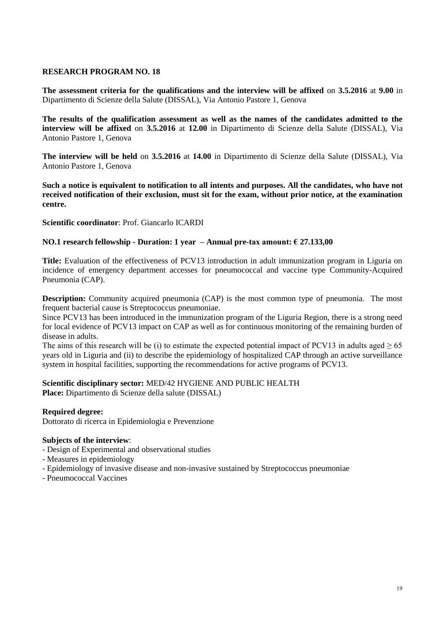**The assessment criteria for the qualifications and the interview will be affixed** on **3.5.2016** at **9.00** in Dipartimento di Scienze della Salute (DISSAL), Via Antonio Pastore 1, Genova

**The results of the qualification assessment as well as the names of the candidates admitted to the interview will be affixed** on **3.5.2016** at **12.00** in Dipartimento di Scienze della Salute (DISSAL), Via Antonio Pastore 1, Genova

**The interview will be held** on **3.5.2016** at **14.00** in Dipartimento di Scienze della Salute (DISSAL), Via Antonio Pastore 1, Genova

**Such a notice is equivalent to notification to all intents and purposes. All the candidates, who have not received notification of their exclusion, must sit for the exam, without prior notice, at the examination centre.**

**Scientific coordinator**: Prof. Giancarlo ICARDI

# **NO.1 research fellowship - Duration: 1 year – Annual pre-tax amount: € 27.133,00**

**Title:** Evaluation of the effectiveness of PCV13 introduction in adult immunization program in Liguria on incidence of emergency department accesses for pneumococcal and vaccine type Community-Acquired Pneumonia (CAP).

**Description:** Community acquired pneumonia (CAP) is the most common type of pneumonia. The most frequent bacterial cause is Streptococcus pneumoniae.

Since PCV13 has been introduced in the immunization program of the Liguria Region, there is a strong need for local evidence of PCV13 impact on CAP as well as for continuous monitoring of the remaining burden of disease in adults.

The aims of this research will be (i) to estimate the expected potential impact of PCV13 in adults aged  $\geq 65$ years old in Liguria and (ii) to describe the epidemiology of hospitalized CAP through an active surveillance system in hospital facilities, supporting the recommendations for active programs of PCV13.

**Scientific disciplinary sector:** MED/42 HYGIENE AND PUBLIC HEALTH **Place:** Dipartimento di Scienze della salute (DISSAL)

# **Required degree:**

Dottorato di ricerca in Epidemiologia e Prevenzione

### **Subjects of the interview**:

- Design of Experimental and observational studies
- Measures in epidemiology
- Epidemiology of invasive disease and non-invasive sustained by Streptococcus pneumoniae
- Pneumococcal Vaccines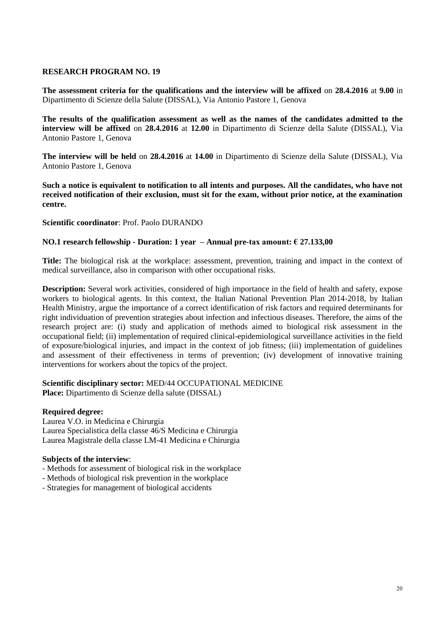**The assessment criteria for the qualifications and the interview will be affixed** on **28.4.2016** at **9.00** in Dipartimento di Scienze della Salute (DISSAL), Via Antonio Pastore 1, Genova

**The results of the qualification assessment as well as the names of the candidates admitted to the interview will be affixed** on **28.4.2016** at **12.00** in Dipartimento di Scienze della Salute (DISSAL), Via Antonio Pastore 1, Genova

**The interview will be held** on **28.4.2016** at **14.00** in Dipartimento di Scienze della Salute (DISSAL), Via Antonio Pastore 1, Genova

**Such a notice is equivalent to notification to all intents and purposes. All the candidates, who have not received notification of their exclusion, must sit for the exam, without prior notice, at the examination centre.**

**Scientific coordinator**: Prof. Paolo DURANDO

# **NO.1 research fellowship - Duration: 1 year – Annual pre-tax amount: € 27.133,00**

**Title:** The biological risk at the workplace: assessment, prevention, training and impact in the context of medical surveillance, also in comparison with other occupational risks.

**Description:** Several work activities, considered of high importance in the field of health and safety, expose workers to biological agents. In this context, the Italian National Prevention Plan 2014-2018, by Italian Health Ministry, argue the importance of a correct identification of risk factors and required determinants for right individuation of prevention strategies about infection and infectious diseases. Therefore, the aims of the research project are: (i) study and application of methods aimed to biological risk assessment in the occupational field; (ii) implementation of required clinical-epidemiological surveillance activities in the field of exposure/biological injuries, and impact in the context of job fitness; (iii) implementation of guidelines and assessment of their effectiveness in terms of prevention; (iv) development of innovative training interventions for workers about the topics of the project.

### **Scientific disciplinary sector:** MED/44 OCCUPATIONAL MEDICINE **Place:** Dipartimento di Scienze della salute (DISSAL)

# **Required degree:**

Laurea V.O. in Medicina e Chirurgia Laurea Specialistica della classe 46/S Medicina e Chirurgia Laurea Magistrale della classe LM-41 Medicina e Chirurgia

### **Subjects of the interview**:

- Methods for assessment of biological risk in the workplace
- Methods of biological risk prevention in the workplace
- Strategies for management of biological accidents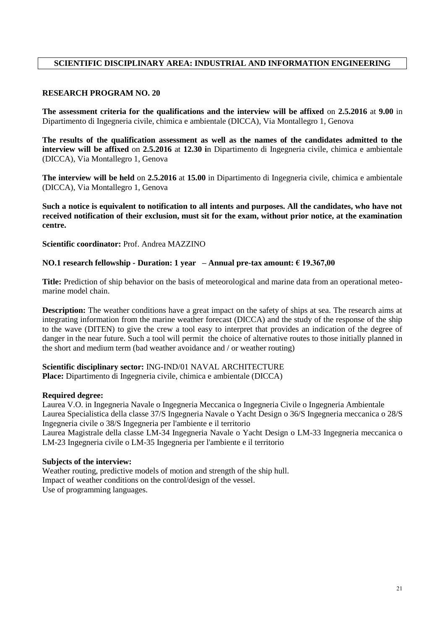# **SCIENTIFIC DISCIPLINARY AREA: INDUSTRIAL AND INFORMATION ENGINEERING**

### **RESEARCH PROGRAM NO. 20**

**The assessment criteria for the qualifications and the interview will be affixed** on **2.5.2016** at **9.00** in Dipartimento di Ingegneria civile, chimica e ambientale (DICCA), Via Montallegro 1, Genova

**The results of the qualification assessment as well as the names of the candidates admitted to the interview will be affixed** on **2.5.2016** at **12.30 i**n Dipartimento di Ingegneria civile, chimica e ambientale (DICCA), Via Montallegro 1, Genova

**The interview will be held** on **2.5.2016** at **15.00** in Dipartimento di Ingegneria civile, chimica e ambientale (DICCA), Via Montallegro 1, Genova

**Such a notice is equivalent to notification to all intents and purposes. All the candidates, who have not received notification of their exclusion, must sit for the exam, without prior notice, at the examination centre.**

**Scientific coordinator:** Prof. Andrea MAZZINO

### **NO.1 research fellowship - Duration: 1 year – Annual pre-tax amount: € 19.367,00**

**Title:** Prediction of ship behavior on the basis of meteorological and marine data from an operational meteomarine model chain.

**Description:** The weather conditions have a great impact on the safety of ships at sea. The research aims at integrating information from the marine weather forecast (DICCA) and the study of the response of the ship to the wave (DITEN) to give the crew a tool easy to interpret that provides an indication of the degree of danger in the near future. Such a tool will permit the choice of alternative routes to those initially planned in the short and medium term (bad weather avoidance and / or weather routing)

**Scientific disciplinary sector:** ING-IND/01 NAVAL ARCHITECTURE **Place:** Dipartimento di Ingegneria civile, chimica e ambientale (DICCA)

### **Required degree:**

Laurea V.O. in Ingegneria Navale o Ingegneria Meccanica o Ingegneria Civile o Ingegneria Ambientale Laurea Specialistica della classe 37/S Ingegneria Navale o Yacht Design o 36/S Ingegneria meccanica o 28/S Ingegneria civile o 38/S Ingegneria per l'ambiente e il territorio Laurea Magistrale della classe LM-34 Ingegneria Navale o Yacht Design o LM-33 Ingegneria meccanica o LM-23 Ingegneria civile o LM-35 Ingegneria per l'ambiente e il territorio

### **Subjects of the interview:**

Weather routing, predictive models of motion and strength of the ship hull. Impact of weather conditions on the control/design of the vessel. Use of programming languages.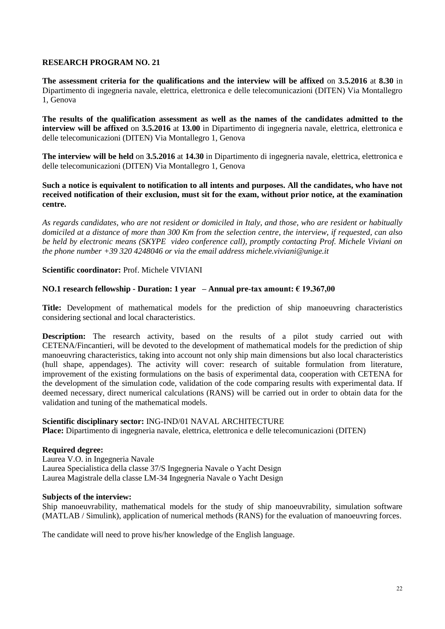**The assessment criteria for the qualifications and the interview will be affixed** on **3.5.2016** at **8.30** in Dipartimento di ingegneria navale, elettrica, elettronica e delle telecomunicazioni (DITEN) Via Montallegro 1, Genova

**The results of the qualification assessment as well as the names of the candidates admitted to the interview will be affixed** on **3.5.2016** at **13.00** in Dipartimento di ingegneria navale, elettrica, elettronica e delle telecomunicazioni (DITEN) Via Montallegro 1, Genova

**The interview will be held** on **3.5.2016** at **14.30** in Dipartimento di ingegneria navale, elettrica, elettronica e delle telecomunicazioni (DITEN) Via Montallegro 1, Genova

### **Such a notice is equivalent to notification to all intents and purposes. All the candidates, who have not received notification of their exclusion, must sit for the exam, without prior notice, at the examination centre.**

*As regards candidates, who are not resident or domiciled in Italy, and those, who are resident or habitually domiciled at a distance of more than 300 Km from the selection centre, the interview, if requested, can also be held by electronic means (SKYPE video conference call), promptly contacting Prof. Michele Viviani on the phone number +39 320 4248046 or via the email address michele.viviani@unige.it*

# **Scientific coordinator:** Prof. Michele VIVIANI

# **NO.1 research fellowship - Duration: 1 year – Annual pre-tax amount: € 19.367,00**

**Title:** Development of mathematical models for the prediction of ship manoeuvring characteristics considering sectional and local characteristics.

**Description:** The research activity, based on the results of a pilot study carried out with CETENA/Fincantieri, will be devoted to the development of mathematical models for the prediction of ship manoeuvring characteristics, taking into account not only ship main dimensions but also local characteristics (hull shape, appendages). The activity will cover: research of suitable formulation from literature, improvement of the existing formulations on the basis of experimental data, cooperation with CETENA for the development of the simulation code, validation of the code comparing results with experimental data. If deemed necessary, direct numerical calculations (RANS) will be carried out in order to obtain data for the validation and tuning of the mathematical models.

# **Scientific disciplinary sector:** ING-IND/01 NAVAL ARCHITECTURE

**Place:** Dipartimento di ingegneria navale, elettrica, elettronica e delle telecomunicazioni (DITEN)

# **Required degree:**

Laurea V.O. in Ingegneria Navale Laurea Specialistica della classe 37/S Ingegneria Navale o Yacht Design Laurea Magistrale della classe LM-34 Ingegneria Navale o Yacht Design

# **Subjects of the interview:**

Ship manoeuvrability, mathematical models for the study of ship manoeuvrability, simulation software (MATLAB / Simulink), application of numerical methods (RANS) for the evaluation of manoeuvring forces.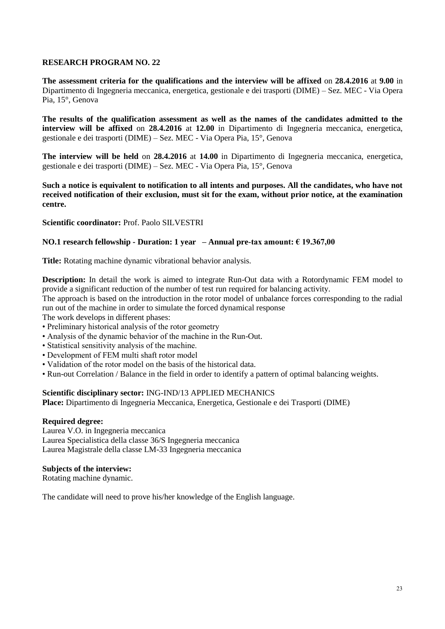**The assessment criteria for the qualifications and the interview will be affixed** on **28.4.2016** at **9.00** in Dipartimento di Ingegneria meccanica, energetica, gestionale e dei trasporti (DIME) – Sez. MEC - Via Opera Pia, 15°, Genova

**The results of the qualification assessment as well as the names of the candidates admitted to the interview will be affixed** on **28.4.2016** at **12.00** in Dipartimento di Ingegneria meccanica, energetica, gestionale e dei trasporti (DIME) – Sez. MEC - Via Opera Pia, 15°, Genova

**The interview will be held** on **28.4.2016** at **14.00** in Dipartimento di Ingegneria meccanica, energetica, gestionale e dei trasporti (DIME) – Sez. MEC - Via Opera Pia, 15°, Genova

**Such a notice is equivalent to notification to all intents and purposes. All the candidates, who have not received notification of their exclusion, must sit for the exam, without prior notice, at the examination centre.**

# **Scientific coordinator:** Prof. Paolo SILVESTRI

# **NO.1 research fellowship - Duration: 1 year – Annual pre-tax amount: € 19.367,00**

**Title:** Rotating machine dynamic vibrational behavior analysis.

**Description:** In detail the work is aimed to integrate Run-Out data with a Rotordynamic FEM model to provide a significant reduction of the number of test run required for balancing activity.

The approach is based on the introduction in the rotor model of unbalance forces corresponding to the radial run out of the machine in order to simulate the forced dynamical response

The work develops in different phases:

- Preliminary historical analysis of the rotor geometry
- Analysis of the dynamic behavior of the machine in the Run-Out.
- Statistical sensitivity analysis of the machine.
- Development of FEM multi shaft rotor model
- Validation of the rotor model on the basis of the historical data.
- Run-out Correlation / Balance in the field in order to identify a pattern of optimal balancing weights.

# **Scientific disciplinary sector:** ING-IND/13 APPLIED MECHANICS

**Place:** Dipartimento di Ingegneria Meccanica, Energetica, Gestionale e dei Trasporti (DIME)

### **Required degree:**

Laurea V.O. in Ingegneria meccanica Laurea Specialistica della classe 36/S Ingegneria meccanica Laurea Magistrale della classe LM-33 Ingegneria meccanica

### **Subjects of the interview:**

Rotating machine dynamic.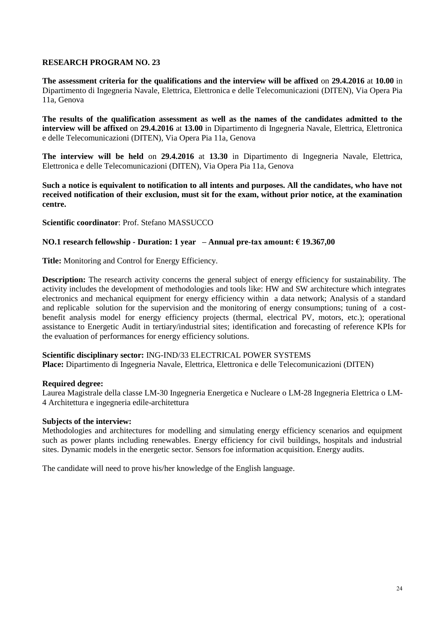**The assessment criteria for the qualifications and the interview will be affixed** on **29.4.2016** at **10.00** in Dipartimento di Ingegneria Navale, Elettrica, Elettronica e delle Telecomunicazioni (DITEN), Via Opera Pia 11a, Genova

**The results of the qualification assessment as well as the names of the candidates admitted to the interview will be affixed** on **29.4.2016** at **13.00** in Dipartimento di Ingegneria Navale, Elettrica, Elettronica e delle Telecomunicazioni (DITEN), Via Opera Pia 11a, Genova

**The interview will be held** on **29.4.2016** at **13.30** in Dipartimento di Ingegneria Navale, Elettrica, Elettronica e delle Telecomunicazioni (DITEN), Via Opera Pia 11a, Genova

**Such a notice is equivalent to notification to all intents and purposes. All the candidates, who have not received notification of their exclusion, must sit for the exam, without prior notice, at the examination centre.**

**Scientific coordinator**: Prof. Stefano MASSUCCO

# **NO.1 research fellowship - Duration: 1 year – Annual pre-tax amount: € 19.367,00**

**Title:** Monitoring and Control for Energy Efficiency.

**Description:** The research activity concerns the general subject of energy efficiency for sustainability. The activity includes the development of methodologies and tools like: HW and SW architecture which integrates electronics and mechanical equipment for energy efficiency within a data network; Analysis of a standard and replicable solution for the supervision and the monitoring of energy consumptions; tuning of a costbenefit analysis model for energy efficiency projects (thermal, electrical PV, motors, etc.); operational assistance to Energetic Audit in tertiary/industrial sites; identification and forecasting of reference KPIs for the evaluation of performances for energy efficiency solutions.

**Scientific disciplinary sector:** ING-IND/33 ELECTRICAL POWER SYSTEMS **Place:** Dipartimento di Ingegneria Navale, Elettrica, Elettronica e delle Telecomunicazioni (DITEN)

# **Required degree:**

Laurea Magistrale della classe LM-30 Ingegneria Energetica e Nucleare o LM-28 Ingegneria Elettrica o LM-4 Architettura e ingegneria edile-architettura

### **Subjects of the interview:**

Methodologies and architectures for modelling and simulating energy efficiency scenarios and equipment such as power plants including renewables. Energy efficiency for civil buildings, hospitals and industrial sites. Dynamic models in the energetic sector. Sensors foe information acquisition. Energy audits.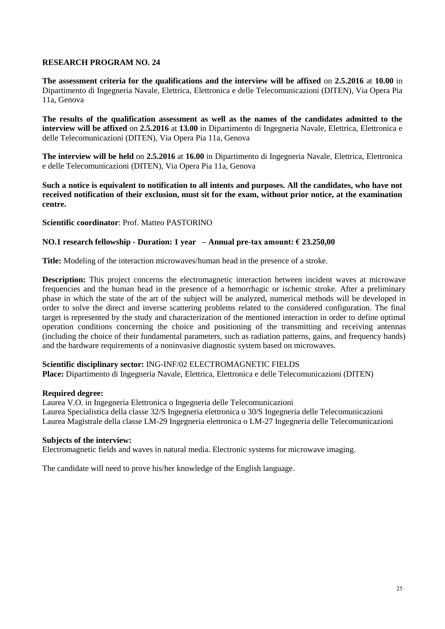**The assessment criteria for the qualifications and the interview will be affixed** on **2.5.2016** at **10.00** in Dipartimento di Ingegneria Navale, Elettrica, Elettronica e delle Telecomunicazioni (DITEN), Via Opera Pia 11a, Genova

**The results of the qualification assessment as well as the names of the candidates admitted to the interview will be affixed** on **2.5.2016** at **13.00** in Dipartimento di Ingegneria Navale, Elettrica, Elettronica e delle Telecomunicazioni (DITEN), Via Opera Pia 11a, Genova

**The interview will be held** on **2.5.2016** at **16.00** in Dipartimento di Ingegneria Navale, Elettrica, Elettronica e delle Telecomunicazioni (DITEN), Via Opera Pia 11a, Genova

**Such a notice is equivalent to notification to all intents and purposes. All the candidates, who have not received notification of their exclusion, must sit for the exam, without prior notice, at the examination centre.**

**Scientific coordinator**: Prof. Matteo PASTORINO

# **NO.1 research fellowship - Duration: 1 year – Annual pre-tax amount: € 23.250,00**

**Title:** Modeling of the interaction microwaves/human head in the presence of a stroke.

**Description:** This project concerns the electromagnetic interaction between incident waves at microwave frequencies and the human head in the presence of a hemorrhagic or ischemic stroke. After a preliminary phase in which the state of the art of the subject will be analyzed, numerical methods will be developed in order to solve the direct and inverse scattering problems related to the considered configuration. The final target is represented by the study and characterization of the mentioned interaction in order to define optimal operation conditions concerning the choice and positioning of the transmitting and receiving antennas (including the choice of their fundamental parameters, such as radiation patterns, gains, and frequency bands) and the hardware requirements of a noninvasive diagnostic system based on microwaves.

### **Scientific disciplinary sector:** ING-INF/02 ELECTROMAGNETIC FIELDS

**Place:** Dipartimento di Ingegneria Navale, Elettrica, Elettronica e delle Telecomunicazioni (DITEN)

### **Required degree:**

Laurea V.O. in Ingegneria Elettronica o Ingegneria delle Telecomunicazioni Laurea Specialistica della classe 32/S Ingegneria elettronica o 30/S Ingegneria delle Telecomunicazioni Laurea Magistrale della classe LM-29 Ingegneria elettronica o LM-27 Ingegneria delle Telecomunicazioni

### **Subjects of the interview:**

Electromagnetic fields and waves in natural media. Electronic systems for microwave imaging.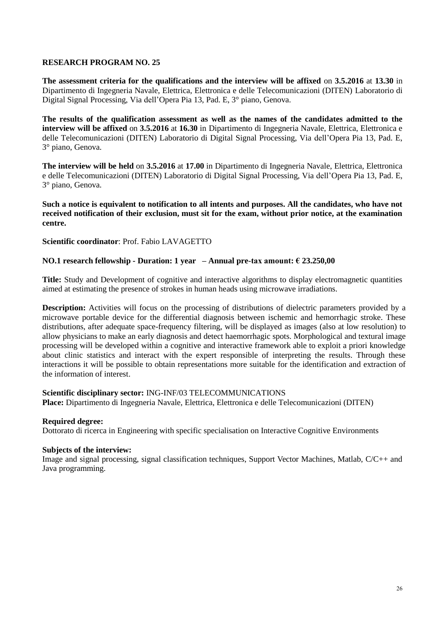**The assessment criteria for the qualifications and the interview will be affixed** on **3.5.2016** at **13.30** in Dipartimento di Ingegneria Navale, Elettrica, Elettronica e delle Telecomunicazioni (DITEN) Laboratorio di Digital Signal Processing, Via dell'Opera Pia 13, Pad. E, 3° piano, Genova.

**The results of the qualification assessment as well as the names of the candidates admitted to the interview will be affixed** on **3.5.2016** at **16.30** in Dipartimento di Ingegneria Navale, Elettrica, Elettronica e delle Telecomunicazioni (DITEN) Laboratorio di Digital Signal Processing, Via dell'Opera Pia 13, Pad. E, 3° piano, Genova.

**The interview will be held** on **3.5.2016** at **17.00** in Dipartimento di Ingegneria Navale, Elettrica, Elettronica e delle Telecomunicazioni (DITEN) Laboratorio di Digital Signal Processing, Via dell'Opera Pia 13, Pad. E, 3° piano, Genova.

**Such a notice is equivalent to notification to all intents and purposes. All the candidates, who have not received notification of their exclusion, must sit for the exam, without prior notice, at the examination centre.**

# **Scientific coordinator**: Prof. Fabio LAVAGETTO

# **NO.1 research fellowship - Duration: 1 year – Annual pre-tax amount: € 23.250,00**

**Title:** Study and Development of cognitive and interactive algorithms to display electromagnetic quantities aimed at estimating the presence of strokes in human heads using microwave irradiations.

**Description:** Activities will focus on the processing of distributions of dielectric parameters provided by a microwave portable device for the differential diagnosis between ischemic and hemorrhagic stroke. These distributions, after adequate space-frequency filtering, will be displayed as images (also at low resolution) to allow physicians to make an early diagnosis and detect haemorrhagic spots. Morphological and textural image processing will be developed within a cognitive and interactive framework able to exploit a priori knowledge about clinic statistics and interact with the expert responsible of interpreting the results. Through these interactions it will be possible to obtain representations more suitable for the identification and extraction of the information of interest.

# **Scientific disciplinary sector:** ING-INF/03 TELECOMMUNICATIONS

**Place:** Dipartimento di Ingegneria Navale, Elettrica, Elettronica e delle Telecomunicazioni (DITEN)

# **Required degree:**

Dottorato di ricerca in Engineering with specific specialisation on Interactive Cognitive Environments

### **Subjects of the interview:**

Image and signal processing, signal classification techniques, Support Vector Machines, Matlab, C/C++ and Java programming.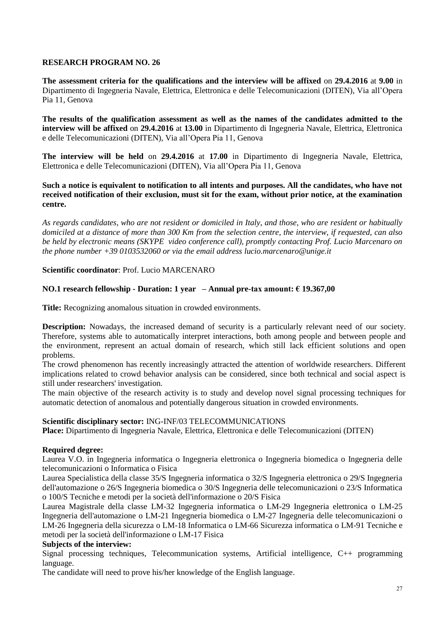**The assessment criteria for the qualifications and the interview will be affixed** on **29.4.2016** at **9.00** in Dipartimento di Ingegneria Navale, Elettrica, Elettronica e delle Telecomunicazioni (DITEN), Via all'Opera Pia 11, Genova

**The results of the qualification assessment as well as the names of the candidates admitted to the interview will be affixed** on **29.4.2016** at **13.00** in Dipartimento di Ingegneria Navale, Elettrica, Elettronica e delle Telecomunicazioni (DITEN), Via all'Opera Pia 11, Genova

**The interview will be held** on **29.4.2016** at **17.00** in Dipartimento di Ingegneria Navale, Elettrica, Elettronica e delle Telecomunicazioni (DITEN), Via all'Opera Pia 11, Genova

**Such a notice is equivalent to notification to all intents and purposes. All the candidates, who have not received notification of their exclusion, must sit for the exam, without prior notice, at the examination centre.**

*As regards candidates, who are not resident or domiciled in Italy, and those, who are resident or habitually domiciled at a distance of more than 300 Km from the selection centre, the interview, if requested, can also be held by electronic means (SKYPE video conference call), promptly contacting Prof. Lucio Marcenaro on the phone number +39 0103532060 or via the email address lucio.marcenaro@unige.it*

# **Scientific coordinator**: Prof. Lucio MARCENARO

# **NO.1 research fellowship - Duration: 1 year – Annual pre-tax amount: € 19.367,00**

**Title:** Recognizing anomalous situation in crowded environments.

**Description:** Nowadays, the increased demand of security is a particularly relevant need of our society. Therefore, systems able to automatically interpret interactions, both among people and between people and the environment, represent an actual domain of research, which still lack efficient solutions and open problems.

The crowd phenomenon has recently increasingly attracted the attention of worldwide researchers. Different implications related to crowd behavior analysis can be considered, since both technical and social aspect is still under researchers' investigation.

The main objective of the research activity is to study and develop novel signal processing techniques for automatic detection of anomalous and potentially dangerous situation in crowded environments.

# **Scientific disciplinary sector:** ING-INF/03 TELECOMMUNICATIONS

**Place:** Dipartimento di Ingegneria Navale, Elettrica, Elettronica e delle Telecomunicazioni (DITEN)

# **Required degree:**

Laurea V.O. in Ingegneria informatica o Ingegneria elettronica o Ingegneria biomedica o Ingegneria delle telecomunicazioni o Informatica o Fisica

Laurea Specialistica della classe 35/S Ingegneria informatica o 32/S Ingegneria elettronica o 29/S Ingegneria dell'automazione o 26/S Ingegneria biomedica o 30/S Ingegneria delle telecomunicazioni o 23/S Informatica o 100/S Tecniche e metodi per la società dell'informazione o 20/S Fisica

Laurea Magistrale della classe LM-32 Ingegneria informatica o LM-29 Ingegneria elettronica o LM-25 Ingegneria dell'automazione o LM-21 Ingegneria biomedica o LM-27 Ingegneria delle telecomunicazioni o LM-26 Ingegneria della sicurezza o LM-18 Informatica o LM-66 Sicurezza informatica o LM-91 Tecniche e metodi per la società dell'informazione o LM-17 Fisica

# **Subjects of the interview:**

Signal processing techniques, Telecommunication systems, Artificial intelligence, C++ programming language.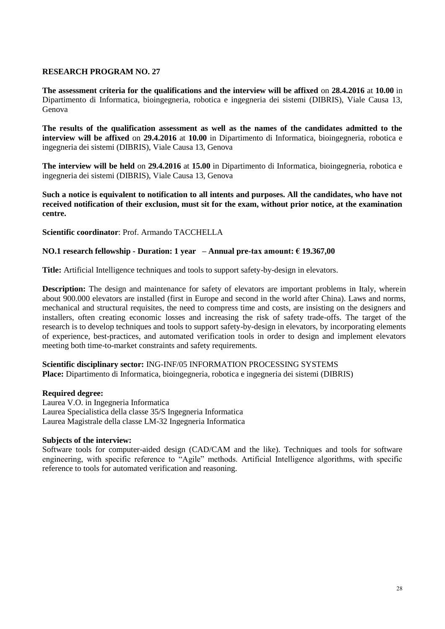**The assessment criteria for the qualifications and the interview will be affixed** on **28.4.2016** at **10.00** in Dipartimento di Informatica, bioingegneria, robotica e ingegneria dei sistemi (DIBRIS), Viale Causa 13, Genova

**The results of the qualification assessment as well as the names of the candidates admitted to the interview will be affixed** on **29.4.2016** at **10.00** in Dipartimento di Informatica, bioingegneria, robotica e ingegneria dei sistemi (DIBRIS), Viale Causa 13, Genova

**The interview will be held** on **29.4.2016** at **15.00** in Dipartimento di Informatica, bioingegneria, robotica e ingegneria dei sistemi (DIBRIS), Viale Causa 13, Genova

**Such a notice is equivalent to notification to all intents and purposes. All the candidates, who have not received notification of their exclusion, must sit for the exam, without prior notice, at the examination centre.**

**Scientific coordinator**: Prof. Armando TACCHELLA

# **NO.1 research fellowship - Duration: 1 year – Annual pre-tax amount: € 19.367,00**

**Title:** Artificial Intelligence techniques and tools to support safety-by-design in elevators.

**Description:** The design and maintenance for safety of elevators are important problems in Italy, wherein about 900.000 elevators are installed (first in Europe and second in the world after China). Laws and norms, mechanical and structural requisites, the need to compress time and costs, are insisting on the designers and installers, often creating economic losses and increasing the risk of safety trade-offs. The target of the research is to develop techniques and tools to support safety-by-design in elevators, by incorporating elements of experience, best-practices, and automated verification tools in order to design and implement elevators meeting both time-to-market constraints and safety requirements.

**Scientific disciplinary sector:** ING-INF/05 INFORMATION PROCESSING SYSTEMS **Place:** Dipartimento di Informatica, bioingegneria, robotica e ingegneria dei sistemi (DIBRIS)

# **Required degree:**

Laurea V.O. in Ingegneria Informatica Laurea Specialistica della classe 35/S Ingegneria Informatica Laurea Magistrale della classe LM-32 Ingegneria Informatica

# **Subjects of the interview:**

Software tools for computer-aided design (CAD/CAM and the like). Techniques and tools for software engineering, with specific reference to "Agile" methods. Artificial Intelligence algorithms, with specific reference to tools for automated verification and reasoning.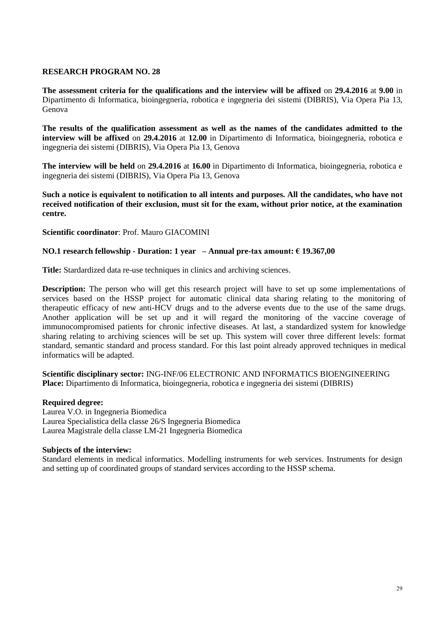**The assessment criteria for the qualifications and the interview will be affixed** on **29.4.2016** at **9.00** in Dipartimento di Informatica, bioingegneria, robotica e ingegneria dei sistemi (DIBRIS), Via Opera Pia 13, Genova

**The results of the qualification assessment as well as the names of the candidates admitted to the interview will be affixed** on **29.4.2016** at **12.00** in Dipartimento di Informatica, bioingegneria, robotica e ingegneria dei sistemi (DIBRIS), Via Opera Pia 13, Genova

**The interview will be held** on **29.4.2016** at **16.00** in Dipartimento di Informatica, bioingegneria, robotica e ingegneria dei sistemi (DIBRIS), Via Opera Pia 13, Genova

**Such a notice is equivalent to notification to all intents and purposes. All the candidates, who have not received notification of their exclusion, must sit for the exam, without prior notice, at the examination centre.**

**Scientific coordinator**: Prof. Mauro GIACOMINI

# **NO.1 research fellowship - Duration: 1 year – Annual pre-tax amount: € 19.367,00**

**Title:** Stardardized data re-use techniques in clinics and archiving sciences.

**Description:** The person who will get this research project will have to set up some implementations of services based on the HSSP project for automatic clinical data sharing relating to the monitoring of therapeutic efficacy of new anti-HCV drugs and to the adverse events due to the use of the same drugs. Another application will be set up and it will regard the monitoring of the vaccine coverage of immunocompromised patients for chronic infective diseases. At last, a standardized system for knowledge sharing relating to archiving sciences will be set up. This system will cover three different levels: format standard, semantic standard and process standard. For this last point already approved techniques in medical informatics will be adapted.

**Scientific disciplinary sector:** ING-INF/06 ELECTRONIC AND INFORMATICS BIOENGINEERING **Place:** Dipartimento di Informatica, bioingegneria, robotica e ingegneria dei sistemi (DIBRIS)

### **Required degree:**

Laurea V.O. in Ingegneria Biomedica Laurea Specialistica della classe 26/S Ingegneria Biomedica Laurea Magistrale della classe LM-21 Ingegneria Biomedica

# **Subjects of the interview:**

Standard elements in medical informatics. Modelling instruments for web services. Instruments for design and setting up of coordinated groups of standard services according to the HSSP schema.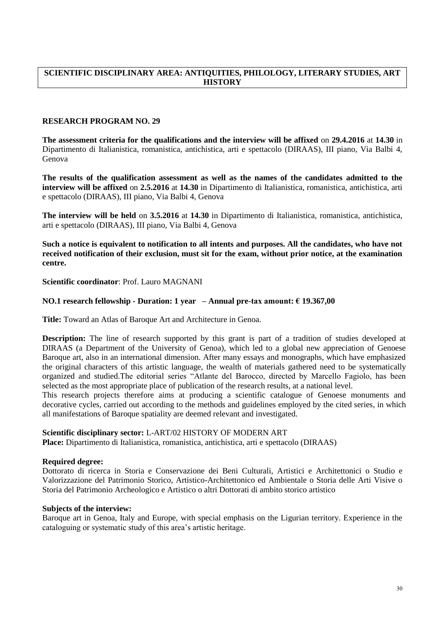# **SCIENTIFIC DISCIPLINARY AREA: ANTIQUITIES, PHILOLOGY, LITERARY STUDIES, ART HISTORY**

# **RESEARCH PROGRAM NO. 29**

**The assessment criteria for the qualifications and the interview will be affixed** on **29.4.2016** at **14.30** in Dipartimento di Italianistica, romanistica, antichistica, arti e spettacolo (DIRAAS), III piano, Via Balbi 4, Genova

**The results of the qualification assessment as well as the names of the candidates admitted to the interview will be affixed** on **2.5.2016** at **14.30** in Dipartimento di Italianistica, romanistica, antichistica, arti e spettacolo (DIRAAS), III piano, Via Balbi 4, Genova

**The interview will be held** on **3.5.2016** at **14.30** in Dipartimento di Italianistica, romanistica, antichistica, arti e spettacolo (DIRAAS), III piano, Via Balbi 4, Genova

**Such a notice is equivalent to notification to all intents and purposes. All the candidates, who have not received notification of their exclusion, must sit for the exam, without prior notice, at the examination centre.**

**Scientific coordinator**: Prof. Lauro MAGNANI

### **NO.1 research fellowship - Duration: 1 year – Annual pre-tax amount: € 19.367,00**

**Title:** Toward an Atlas of Baroque Art and Architecture in Genoa.

**Description:** The line of research supported by this grant is part of a tradition of studies developed at DIRAAS (a Department of the University of Genoa), which led to a global new appreciation of Genoese Baroque art, also in an international dimension. After many essays and monographs, which have emphasized the original characters of this artistic language, the wealth of materials gathered need to be systematically organized and studied.The editorial series "Atlante del Barocco, directed by Marcello Fagiolo, has been selected as the most appropriate place of publication of the research results, at a national level.

This research projects therefore aims at producing a scientific catalogue of Genoese monuments and decorative cycles, carried out according to the methods and guidelines employed by the cited series, in which all manifestations of Baroque spatiality are deemed relevant and investigated.

### **Scientific disciplinary sector:** L-ART/02 HISTORY OF MODERN ART

**Place:** Dipartimento di Italianistica, romanistica, antichistica, arti e spettacolo (DIRAAS)

# **Required degree:**

Dottorato di ricerca in Storia e Conservazione dei Beni Culturali, Artistici e Architettonici o Studio e Valorizzazione del Patrimonio Storico, Artistico-Architettonico ed Ambientale o Storia delle Arti Visive o Storia del Patrimonio Archeologico e Artistico o altri Dottorati di ambito storico artistico

### **Subjects of the interview:**

Baroque art in Genoa, Italy and Europe, with special emphasis on the Ligurian territory. Experience in the cataloguing or systematic study of this area's artistic heritage.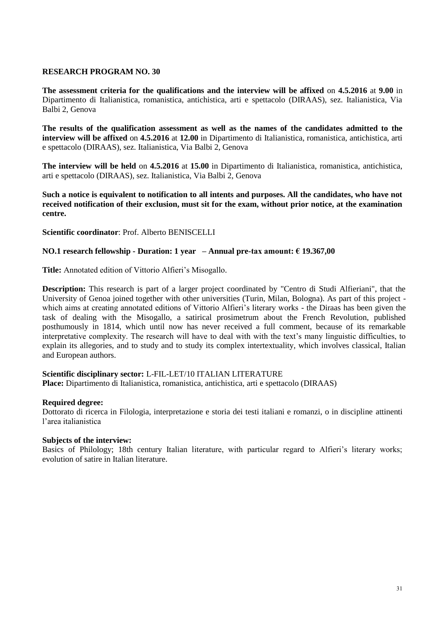**The assessment criteria for the qualifications and the interview will be affixed** on **4.5.2016** at **9.00** in Dipartimento di Italianistica, romanistica, antichistica, arti e spettacolo (DIRAAS), sez. Italianistica, Via Balbi 2, Genova

**The results of the qualification assessment as well as the names of the candidates admitted to the interview will be affixed** on **4.5.2016** at **12.00** in Dipartimento di Italianistica, romanistica, antichistica, arti e spettacolo (DIRAAS), sez. Italianistica, Via Balbi 2, Genova

**The interview will be held** on **4.5.2016** at **15.00** in Dipartimento di Italianistica, romanistica, antichistica, arti e spettacolo (DIRAAS), sez. Italianistica, Via Balbi 2, Genova

**Such a notice is equivalent to notification to all intents and purposes. All the candidates, who have not received notification of their exclusion, must sit for the exam, without prior notice, at the examination centre.**

**Scientific coordinator**: Prof. Alberto BENISCELLI

# **NO.1 research fellowship - Duration: 1 year – Annual pre-tax amount: € 19.367,00**

**Title:** Annotated edition of Vittorio Alfieri's Misogallo.

**Description:** This research is part of a larger project coordinated by "Centro di Studi Alfieriani", that the University of Genoa joined together with other universities (Turin, Milan, Bologna). As part of this project which aims at creating annotated editions of Vittorio Alfieri's literary works - the Diraas has been given the task of dealing with the Misogallo, a satirical prosimetrum about the French Revolution, published posthumously in 1814, which until now has never received a full comment, because of its remarkable interpretative complexity. The research will have to deal with with the text's many linguistic difficulties, to explain its allegories, and to study and to study its complex intertextuality, which involves classical, Italian and European authors.

# **Scientific disciplinary sector:** L-FIL-LET/10 ITALIAN LITERATURE

**Place:** Dipartimento di Italianistica, romanistica, antichistica, arti e spettacolo (DIRAAS)

# **Required degree:**

Dottorato di ricerca in Filologia, interpretazione e storia dei testi italiani e romanzi, o in discipline attinenti l'area italianistica

# **Subjects of the interview:**

Basics of Philology; 18th century Italian literature, with particular regard to Alfieri's literary works; evolution of satire in Italian literature.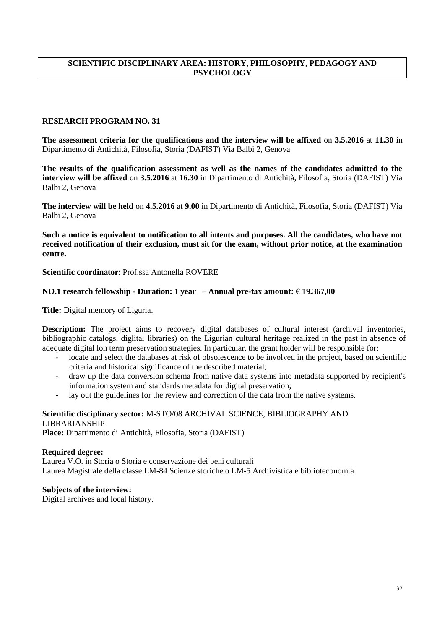# **SCIENTIFIC DISCIPLINARY AREA: HISTORY, PHILOSOPHY, PEDAGOGY AND PSYCHOLOGY**

# **RESEARCH PROGRAM NO. 31**

**The assessment criteria for the qualifications and the interview will be affixed** on **3.5.2016** at **11.30** in Dipartimento di Antichità, Filosofia, Storia (DAFIST) Via Balbi 2, Genova

**The results of the qualification assessment as well as the names of the candidates admitted to the interview will be affixed** on **3.5.2016** at **16.30** in Dipartimento di Antichità, Filosofia, Storia (DAFIST) Via Balbi 2, Genova

**The interview will be held** on **4.5.2016** at **9.00** in Dipartimento di Antichità, Filosofia, Storia (DAFIST) Via Balbi 2, Genova

**Such a notice is equivalent to notification to all intents and purposes. All the candidates, who have not received notification of their exclusion, must sit for the exam, without prior notice, at the examination centre.**

### **Scientific coordinator**: Prof.ssa Antonella ROVERE

### **NO.1 research fellowship - Duration: 1 year – Annual pre-tax amount: € 19.367,00**

**Title:** Digital memory of Liguria.

**Description:** The project aims to recovery digital databases of cultural interest (archival inventories, bibliographic catalogs, diglital libraries) on the Ligurian cultural heritage realized in the past in absence of adequate digital lon term preservation strategies. In particular, the grant holder will be responsible for:

- locate and select the databases at risk of obsolescence to be involved in the project, based on scientific criteria and historical significance of the described material;
- draw up the data conversion schema from native data systems into metadata supported by recipient's information system and standards metadata for digital preservation;
- lay out the guidelines for the review and correction of the data from the native systems.

# **Scientific disciplinary sector:** M-STO/08 ARCHIVAL SCIENCE, BIBLIOGRAPHY AND LIBRARIANSHIP

**Place:** Dipartimento di Antichità, Filosofia, Storia (DAFIST)

### **Required degree:**

Laurea V.O. in Storia o Storia e conservazione dei beni culturali Laurea Magistrale della classe LM-84 Scienze storiche o LM-5 Archivistica e biblioteconomia

### **Subjects of the interview:**

Digital archives and local history.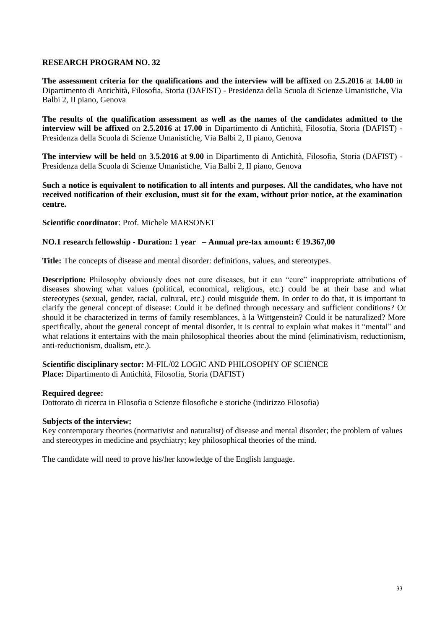**The assessment criteria for the qualifications and the interview will be affixed** on **2.5.2016** at **14.00** in Dipartimento di Antichità, Filosofia, Storia (DAFIST) - Presidenza della Scuola di Scienze Umanistiche, Via Balbi 2, II piano, Genova

**The results of the qualification assessment as well as the names of the candidates admitted to the interview will be affixed** on **2.5.2016** at **17.00** in Dipartimento di Antichità, Filosofia, Storia (DAFIST) - Presidenza della Scuola di Scienze Umanistiche, Via Balbi 2, II piano, Genova

**The interview will be held** on **3.5.2016** at **9.00** in Dipartimento di Antichità, Filosofia, Storia (DAFIST) - Presidenza della Scuola di Scienze Umanistiche, Via Balbi 2, II piano, Genova

**Such a notice is equivalent to notification to all intents and purposes. All the candidates, who have not received notification of their exclusion, must sit for the exam, without prior notice, at the examination centre.**

**Scientific coordinator**: Prof. Michele MARSONET

# **NO.1 research fellowship - Duration: 1 year – Annual pre-tax amount: € 19.367,00**

**Title:** The concepts of disease and mental disorder: definitions, values, and stereotypes.

**Description:** Philosophy obviously does not cure diseases, but it can "cure" inappropriate attributions of diseases showing what values (political, economical, religious, etc.) could be at their base and what stereotypes (sexual, gender, racial, cultural, etc.) could misguide them. In order to do that, it is important to clarify the general concept of disease: Could it be defined through necessary and sufficient conditions? Or should it be characterized in terms of family resemblances, à la Wittgenstein? Could it be naturalized? More specifically, about the general concept of mental disorder, it is central to explain what makes it "mental" and what relations it entertains with the main philosophical theories about the mind (eliminativism, reductionism, anti-reductionism, dualism, etc.).

### **Scientific disciplinary sector:** M-FIL/02 LOGIC AND PHILOSOPHY OF SCIENCE **Place:** Dipartimento di Antichità, Filosofia, Storia (DAFIST)

# **Required degree:**

Dottorato di ricerca in Filosofia o Scienze filosofiche e storiche (indirizzo Filosofia)

### **Subjects of the interview:**

Key contemporary theories (normativist and naturalist) of disease and mental disorder; the problem of values and stereotypes in medicine and psychiatry; key philosophical theories of the mind.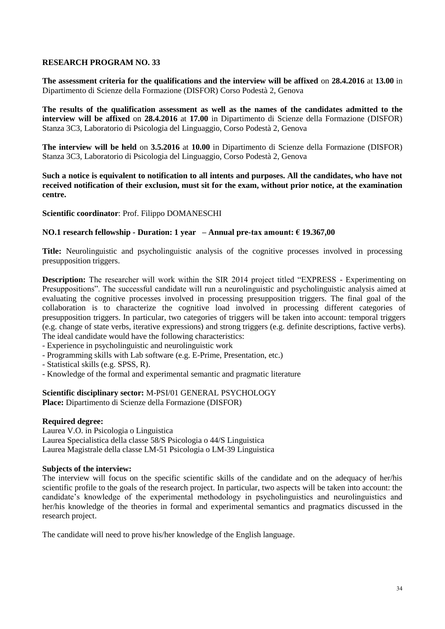**The assessment criteria for the qualifications and the interview will be affixed** on **28.4.2016** at **13.00** in Dipartimento di Scienze della Formazione (DISFOR) Corso Podestà 2, Genova

**The results of the qualification assessment as well as the names of the candidates admitted to the interview will be affixed** on **28.4.2016** at **17.00** in Dipartimento di Scienze della Formazione (DISFOR) Stanza 3C3, Laboratorio di Psicologia del Linguaggio, Corso Podestà 2, Genova

**The interview will be held** on **3.5.2016** at **10.00** in Dipartimento di Scienze della Formazione (DISFOR) Stanza 3C3, Laboratorio di Psicologia del Linguaggio, Corso Podestà 2, Genova

**Such a notice is equivalent to notification to all intents and purposes. All the candidates, who have not received notification of their exclusion, must sit for the exam, without prior notice, at the examination centre.**

### **Scientific coordinator**: Prof. Filippo DOMANESCHI

### **NO.1 research fellowship - Duration: 1 year – Annual pre-tax amount: € 19.367,00**

**Title:** Neurolinguistic and psycholinguistic analysis of the cognitive processes involved in processing presupposition triggers.

**Description:** The researcher will work within the SIR 2014 project titled "EXPRESS - Experimenting on Presuppositions". The successful candidate will run a neurolinguistic and psycholinguistic analysis aimed at evaluating the cognitive processes involved in processing presupposition triggers. The final goal of the collaboration is to characterize the cognitive load involved in processing different categories of presupposition triggers. In particular, two categories of triggers will be taken into account: temporal triggers (e.g. change of state verbs, iterative expressions) and strong triggers (e.g. definite descriptions, factive verbs). The ideal candidate would have the following characteristics:

- Experience in psycholinguistic and neurolinguistic work
- Programming skills with Lab software (e.g. E-Prime, Presentation, etc.)

- Statistical skills (e.g. SPSS, R).

- Knowledge of the formal and experimental semantic and pragmatic literature

# **Scientific disciplinary sector:** M-PSI/01 GENERAL PSYCHOLOGY

**Place:** Dipartimento di Scienze della Formazione (DISFOR)

### **Required degree:**

Laurea V.O. in Psicologia o Linguistica Laurea Specialistica della classe 58/S Psicologia o 44/S Linguistica Laurea Magistrale della classe LM-51 Psicologia o LM-39 Linguistica

### **Subjects of the interview:**

The interview will focus on the specific scientific skills of the candidate and on the adequacy of her/his scientific profile to the goals of the research project. In particular, two aspects will be taken into account: the candidate's knowledge of the experimental methodology in psycholinguistics and neurolinguistics and her/his knowledge of the theories in formal and experimental semantics and pragmatics discussed in the research project.